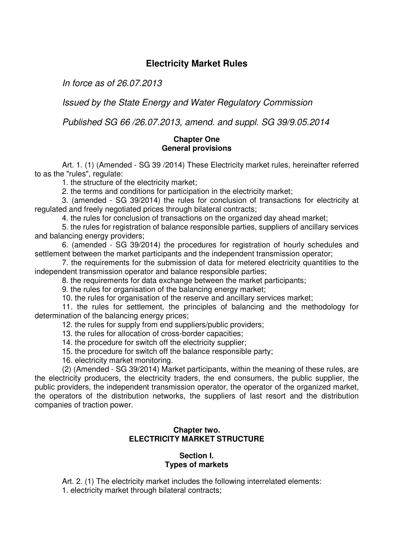# **Electricity Market Rules**

In force as of 26.07.2013

Issued by the State Energy and Water Regulatory Commission

Published SG 66 /26.07.2013, amend. and suppl. SG 39/9.05.2014

## **Chapter One General provisions**

Art. 1. (1) (Amended - SG 39 /2014) These Electricity market rules, hereinafter referred to as the "rules", regulate:

1. the structure of the electricity market;

2. the terms and conditions for participation in the electricity market;

3. (amended - SG 39/2014) the rules for conclusion of transactions for electricity at regulated and freely negotiated prices through bilateral contracts;

4. the rules for conclusion of transactions on the organized day ahead market;

5. the rules for registration of balance responsible parties, suppliers of ancillary services and balancing energy providers;

6. (amended - SG 39/2014) the procedures for registration of hourly schedules and settlement between the market participants and the independent transmission operator;

7. the requirements for the submission of data for metered electricity quantities to the independent transmission operator and balance responsible parties;

8. the requirements for data exchange between the market participants;

9. the rules for organisation of the balancing energy market;

10. the rules for organisation of the reserve and ancillary services market;

11. the rules for settlement, the principles of balancing and the methodology for determination of the balancing energy prices;

12. the rules for supply from end suppliers/public providers;

13. the rules for allocation of cross-border capacities;

14. the procedure for switch off the electricity supplier;

15. the procedure for switch off the balance responsible party;

16. electricity market monitoring.

(2) (Amended - SG 39/2014) Market participants, within the meaning of these rules, are the electricity producers, the electricity traders, the end consumers, the public supplier, the public providers, the independent transmission operator, the operator of the organized market, the operators of the distribution networks, the suppliers of last resort and the distribution companies of traction power.

## **Chapter two. ELECTRICITY MARKET STRUCTURE**

### **Section I. Types of markets**

Art. 2. (1) The electricity market includes the following interrelated elements:

1. electricity market through bilateral contracts;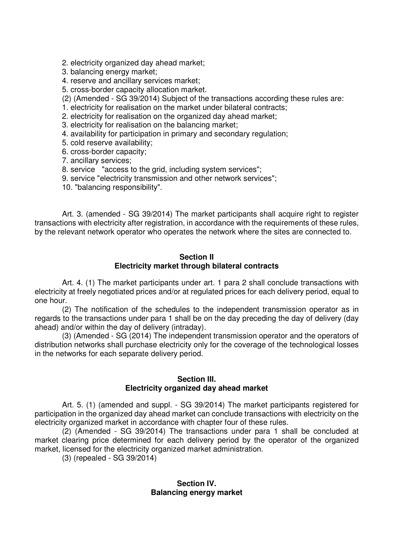2. electricity organized day ahead market;

- 3. balancing energy market;
- 4. reserve and ancillary services market;
- 5. cross-border capacity allocation market.
- (2) (Amended SG 39/2014) Subject of the transactions according these rules are:
- 1. electricity for realisation on the market under bilateral contracts;
- 2. electricity for realisation on the organized day ahead market;
- 3. electricity for realisation on the balancing market;
- 4. availability for participation in primary and secondary regulation;
- 5. cold reserve availability;
- 6. cross-border capacity;
- 7. ancillary services;
- 8. service "access to the grid, including system services";
- 9. service "electricity transmission and other network services";
- 10. "balancing responsibility".

Art. 3. (amended - SG 39/2014) The market participants shall acquire right to register transactions with electricity after registration, in accordance with the requirements of these rules, by the relevant network operator who operates the network where the sites are connected to.

### **Section II Electricity market through bilateral contracts**

Art. 4. (1) The market participants under art. 1 para 2 shall conclude transactions with electricity at freely negotiated prices and/or at regulated prices for each delivery period, equal to one hour.

(2) The notification of the schedules to the independent transmission operator as in regards to the transactions under para 1 shall be on the day preceding the day of delivery (day ahead) and/or within the day of delivery (intraday).

(3) (Amended - SG (2014) The independent transmission operator and the operators of distribution networks shall purchase electricity only for the coverage of the technological losses in the networks for each separate delivery period.

## **Section III. Electricity organized day ahead market**

Art. 5. (1) (amended and suppl. - SG 39/2014) The market participants registered for participation in the organized day ahead market can conclude transactions with electricity on the electricity organized market in accordance with chapter four of these rules.

(2) (Amended - SG 39/2014) The transactions under para 1 shall be concluded at market clearing price determined for each delivery period by the operator of the organized market, licensed for the electricity organized market administration.

(3) (repealed - SG 39/2014)

## **Section IV. Balancing energy market**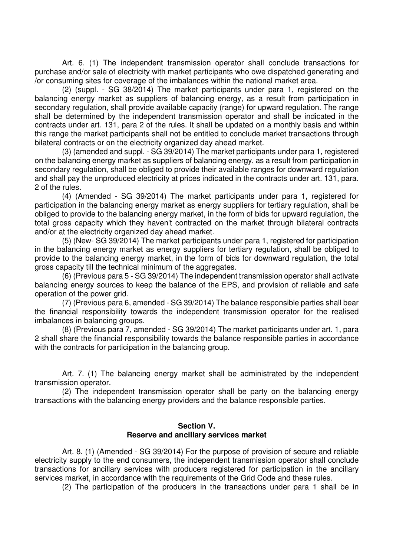Art. 6. (1) The independent transmission operator shall conclude transactions for purchase and/or sale of electricity with market participants who owe dispatched generating and /or consuming sites for coverage of the imbalances within the national market area.

(2) (suppl. - SG 38/2014) The market participants under para 1, registered on the balancing energy market as suppliers of balancing energy, as a result from participation in secondary regulation, shall provide available capacity (range) for upward regulation. The range shall be determined by the independent transmission operator and shall be indicated in the contracts under art. 131, para 2 of the rules. It shall be updated on a monthly basis and within this range the market participants shall not be entitled to conclude market transactions through bilateral contracts or on the electricity organized day ahead market.

(3) (amended and suppl. - SG 39/2014) The market participants under para 1, registered on the balancing energy market as suppliers of balancing energy, as a result from participation in secondary regulation, shall be obliged to provide their available ranges for downward regulation and shall pay the unproduced electricity at prices indicated in the contracts under art. 131, para. 2 of the rules.

(4) (Amended - SG 39/2014) The market participants under para 1, registered for participation in the balancing energy market as energy suppliers for tertiary regulation, shall be obliged to provide to the balancing energy market, in the form of bids for upward regulation, the total gross capacity which they haven't contracted on the market through bilateral contracts and/or at the electricity organized day ahead market.

(5) (New- SG 39/2014) The market participants under para 1, registered for participation in the balancing energy market as energy suppliers for tertiary regulation, shall be obliged to provide to the balancing energy market, in the form of bids for downward regulation, the total gross capacity till the technical minimum of the aggregates.

(6) (Previous para 5 - SG 39/2014) The independent transmission operator shall activate balancing energy sources to keep the balance of the EPS, and provision of reliable and safe operation of the power grid.

(7) (Previous para 6, amended - SG 39/2014) The balance responsible parties shall bear the financial responsibility towards the independent transmission operator for the realised imbalances in balancing groups.

(8) (Previous para 7, amended - SG 39/2014) The market participants under art. 1, para 2 shall share the financial responsibility towards the balance responsible parties in accordance with the contracts for participation in the balancing group.

Art. 7. (1) The balancing energy market shall be administrated by the independent transmission operator.

(2) The independent transmission operator shall be party on the balancing energy transactions with the balancing energy providers and the balance responsible parties.

### **Section V. Reserve and ancillary services market**

Art. 8. (1) (Amended - SG 39/2014) For the purpose of provision of secure and reliable electricity supply to the end consumers, the independent transmission operator shall conclude transactions for ancillary services with producers registered for participation in the ancillary services market, in accordance with the requirements of the Grid Code and these rules.

(2) The participation of the producers in the transactions under para 1 shall be in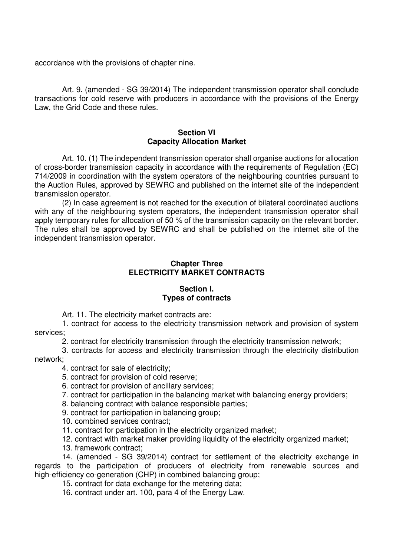accordance with the provisions of chapter nine.

Art. 9. (amended - SG 39/2014) The independent transmission operator shall conclude transactions for cold reserve with producers in accordance with the provisions of the Energy Law, the Grid Code and these rules.

### **Section VI Capacity Allocation Market**

Art. 10. (1) The independent transmission operator shall organise auctions for allocation of cross-border transmission capacity in accordance with the requirements of Regulation (ЕC) 714/2009 in coordination with the system operators of the neighbouring countries pursuant to the Auction Rules, approved by SEWRC and published on the internet site of the independent transmission operator.

(2) In case agreement is not reached for the execution of bilateral coordinated auctions with any of the neighbouring system operators, the independent transmission operator shall apply temporary rules for allocation of 50 % of the transmission capacity on the relevant border. The rules shall be approved by SEWRC and shall be published on the internet site of the independent transmission operator.

## **Chapter Three ELECTRICITY MARKET CONTRACTS**

# **Section I. Types of contracts**

Art. 11. The electricity market contracts are:

1. contract for access to the electricity transmission network and provision of system services;

2. contract for electricity transmission through the electricity transmission network;

3. contracts for access and electricity transmission through the electricity distribution network;

4. contract for sale of electricity;

5. contract for provision of cold reserve;

6. contract for provision of ancillary services;

7. contract for participation in the balancing market with balancing energy providers;

8. balancing contract with balance responsible parties;

9. contract for participation in balancing group;

10. combined services contract;

11. contract for participation in the electricity organized market;

12. contract with market maker providing liquidity of the electricity organized market;

13. framework contract;

14. (amended - SG 39/2014) contract for settlement of the electricity exchange in regards to the participation of producers of electricity from renewable sources and high-efficiency co-generation (CHP) in combined balancing group;

15. contract for data exchange for the metering data;

16. contract under art. 100, para 4 of the Energy Law.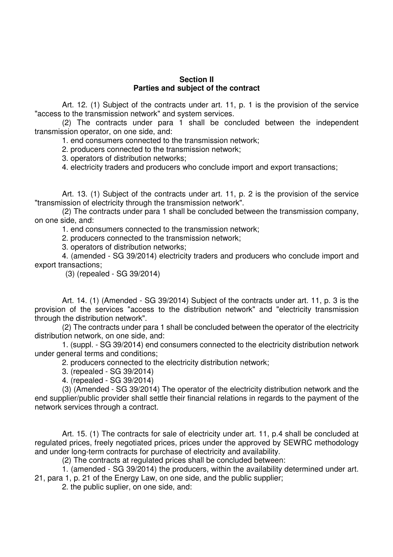### **Section II Parties and subject of the contract**

Art. 12. (1) Subject of the contracts under art. 11, p. 1 is the provision of the service "access to the transmission network" and system services.

(2) The contracts under para 1 shall be concluded between the independent transmission operator, on one side, and:

1. end consumers connected to the transmission network;

2. producers connected to the transmission network;

3. operators of distribution networks;

4. electricity traders and producers who conclude import and export transactions;

Art. 13. (1) Subject of the contracts under art. 11, p. 2 is the provision of the service "transmission of electricity through the transmission network".

(2) The contracts under para 1 shall be concluded between the transmission company, on one side, and:

1. end consumers connected to the transmission network;

2. producers connected to the transmission network;

3. operators of distribution networks;

4. (amended - SG 39/2014) electricity traders and producers who conclude import and export transactions;

(3) (repealed - SG 39/2014)

Art. 14. (1) (Amended - SG 39/2014) Subject of the contracts under art. 11, p. 3 is the provision of the services "access to the distribution network" and "electricity transmission through the distribution network".

(2) The contracts under para 1 shall be concluded between the operator of the electricity distribution network, on one side, and:

1. (suppl. - SG 39/2014) end consumers connected to the electricity distribution network under general terms and conditions;

2. producers connected to the electricity distribution network;

3. (repealed - SG 39/2014)

4. (repealed - SG 39/2014)

(3) (Amended - SG 39/2014) The operator of the electricity distribution network and the end supplier/public provider shall settle their financial relations in regards to the payment of the network services through a contract.

Art. 15. (1) The contracts for sale of electricity under art. 11, p.4 shall be concluded at regulated prices, freely negotiated prices, prices under the approved by SEWRC methodology and under long-term contracts for purchase of electricity and availability.

(2) The contracts at regulated prices shall be concluded between:

1. (amended - SG 39/2014) the producers, within the availability determined under art.

21, para 1, p. 21 of the Energy Law, on one side, and the public supplier;

2. the public suplier, on one side, and: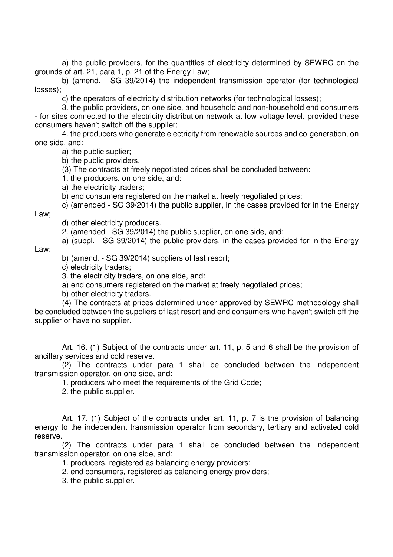а) the public providers, for the quantities of electricity determined by SEWRC on the grounds of art. 21, para 1, p. 21 of the Energy Law;

b) (amend. - SG 39/2014) the independent transmission operator (for technological losses);

c) the operators of electricity distribution networks (for technological losses);

3. the public providers, on one side, and household and non-household end consumers - for sites connected to the electricity distribution network at low voltage level, provided these consumers haven't switch off the supplier;

4. the producers who generate electricity from renewable sources and co-generation, on one side, and:

а) the public suplier;

b) the public providers.

(3) The contracts at freely negotiated prices shall be concluded between:

1. the producers, on one side, and:

а) the electricity traders;

b) end consumers registered on the market at freely negotiated prices;

c) (amended - SG 39/2014) the public supplier, in the cases provided for in the Energy

Law;

d) other electricity producers.

2. (amended - SG 39/2014) the public supplier, on one side, and:

а) (suppl. - SG 39/2014) the public providers, in the cases provided for in the Energy

Law;

b) (amend. - SG 39/2014) suppliers of last resort;

c) electricity traders;

3. the electricity traders, on one side, and:

a) end consumers registered on the market at freely negotiated prices;

b) other electricity traders.

(4) The contracts at prices determined under approved by SEWRC methodology shall be concluded between the suppliers of last resort and end consumers who haven't switch off the supplier or have no supplier.

Art. 16. (1) Subject of the contracts under art. 11, p. 5 and 6 shall be the provision of ancillary services and cold reserve.

(2) The contracts under para 1 shall be concluded between the independent transmission operator, on one side, and:

1. producers who meet the requirements of the Grid Code;

2. the public supplier.

Art. 17. (1) Subject of the contracts under art. 11, p. 7 is the provision of balancing energy to the independent transmission operator from secondary, tertiary and activated cold reserve.

(2) The contracts under para 1 shall be concluded between the independent transmission operator, on one side, and:

1. producers, registered as balancing energy providers;

2. end consumers, registered as balancing energy providers;

3. the public supplier.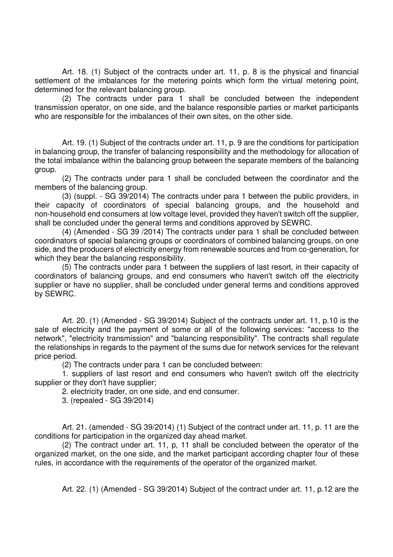Art. 18. (1) Subject of the contracts under art. 11, p. 8 is the physical and financial settlement of the imbalances for the metering points which form the virtual metering point, determined for the relevant balancing group.

(2) The contracts under para 1 shall be concluded between the independent transmission operator, on one side, and the balance responsible parties or market participants who are responsible for the imbalances of their own sites, on the other side.

Art. 19. (1) Subject of the contracts under art. 11, p. 9 are the conditions for participation in balancing group, the transfer of balancing responsibility and the methodology for allocation of the total imbalance within the balancing group between the separate members of the balancing group.

(2) The contracts under para 1 shall be concluded between the coordinator and the members of the balancing group.

(3) (suppl. - SG 39/2014) The contracts under para 1 between the public providers, in their capacity of coordinators of special balancing groups, and the household and non-household end consumers at low voltage level, provided they haven't switch off the supplier, shall be concluded under the general terms and conditions approved by SEWRC.

(4) (Amended - SG 39 /2014) The contracts under para 1 shall be concluded between coordinators of special balancing groups or coordinators of combined balancing groups, on one side, and the producers of electricity energy from renewable sources and from co-generation, for which they bear the balancing responsibility.

(5) The contracts under para 1 between the suppliers of last resort, in their capacity of coordinators of balancing groups, and end consumers who haven't switch off the electricity supplier or have no supplier, shall be concluded under general terms and conditions approved by SEWRC.

Art. 20. (1) (Amended - SG 39/2014) Subject of the contracts under art. 11, p.10 is the sale of electricity and the payment of some or all of the following services: "access to the network", "electricity transmission" and "balancing responsibility". The contracts shall regulate the relationships in regards to the payment of the sums due for network services for the relevant price period.

(2) The contracts under para 1 can be concluded between:

1. suppliers of last resort and end consumers who haven't switch off the electricity supplier or they don't have supplier;

2. electricity trader, on one side, and end consumer.

3. (repealed - SG 39/2014)

Art. 21. (amended - SG 39/2014) (1) Subject of the contract under art. 11, p. 11 are the conditions for participation in the organized day ahead market.

(2) The contract under art. 11, p, 11 shall be concluded between the operator of the organized market, on the one side, and the market participant according chapter four of these rules, in accordance with the requirements of the operator of the organized market.

Art. 22. (1) (Amended - SG 39/2014) Subject of the contract under art. 11, p.12 are the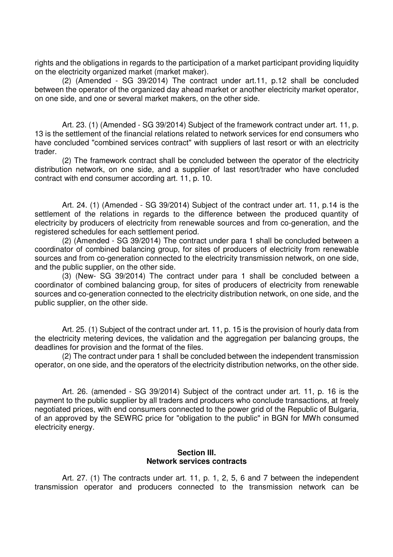rights and the obligations in regards to the participation of a market participant providing liquidity on the electricity organized market (market maker).

(2) (Amended - SG 39/2014) The contract under art.11, p.12 shall be concluded between the operator of the organized day ahead market or another electricity market operator, on one side, and one or several market makers, on the other side.

Art. 23. (1) (Amended - SG 39/2014) Subject of the framework contract under art. 11, p. 13 is the settlement of the financial relations related to network services for end consumers who have concluded "combined services contract" with suppliers of last resort or with an electricity trader.

(2) The framework contract shall be concluded between the operator of the electricity distribution network, on one side, and a supplier of last resort/trader who have concluded contract with end consumer according art. 11, p. 10.

Art. 24. (1) (Amended - SG 39/2014) Subject of the contract under art. 11, p.14 is the settlement of the relations in regards to the difference between the produced quantity of electricity by producers of electricity from renewable sources and from co-generation, and the registered schedules for each settlement period.

(2) (Amended - SG 39/2014) The contract under para 1 shall be concluded between a coordinator of combined balancing group, for sites of producers of electricity from renewable sources and from co-generation connected to the electricity transmission network, on one side, and the public supplier, on the other side.

(3) (New- SG 39/2014) The contract under para 1 shall be concluded between a coordinator of combined balancing group, for sites of producers of electricity from renewable sources and co-generation connected to the electricity distribution network, on one side, and the public supplier, on the other side.

Art. 25. (1) Subject of the contract under art. 11, p. 15 is the provision of hourly data from the electricity metering devices, the validation and the aggregation per balancing groups, the deadlines for provision and the format of the files.

(2) The contract under para 1 shall be concluded between the independent transmission operator, on one side, and the operators of the electricity distribution networks, on the other side.

Art. 26. (amended - SG 39/2014) Subject of the contract under art. 11, p. 16 is the payment to the public supplier by all traders and producers who conclude transactions, at freely negotiated prices, with end consumers connected to the power grid of the Republic of Bulgaria, of an approved by the SEWRC price for "obligation to the public" in BGN for MWh consumed electricity energy.

## **Section III. Network services contracts**

Art. 27. (1) The contracts under art. 11, p. 1, 2, 5, 6 and 7 between the independent transmission operator and producers connected to the transmission network can be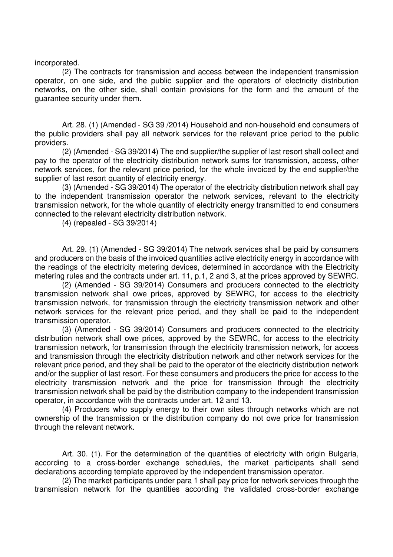incorporated.

(2) The contracts for transmission and access between the independent transmission operator, on one side, and the public supplier and the operators of electricity distribution networks, on the other side, shall contain provisions for the form and the amount of the guarantee security under them.

Art. 28. (1) (Amended - SG 39 /2014) Household and non-household end consumers of the public providers shall pay all network services for the relevant price period to the public providers.

(2) (Amended - SG 39/2014) The end supplier/the supplier of last resort shall collect and pay to the operator of the electricity distribution network sums for transmission, access, other network services, for the relevant price period, for the whole invoiced by the end supplier/the supplier of last resort quantity of electricity energy.

(3) (Amended - SG 39/2014) The operator of the electricity distribution network shall pay to the independent transmission operator the network services, relevant to the electricity transmission network, for the whole quantity of electricity energy transmitted to end consumers connected to the relevant electricity distribution network.

(4) (repealed - SG 39/2014)

Art. 29. (1) (Amended - SG 39/2014) The network services shall be paid by consumers and producers on the basis of the invoiced quantities active electricity energy in accordance with the readings of the electricity metering devices, determined in accordance with the Electricity metering rules and the contracts under art. 11, p.1, 2 and 3, at the prices approved by SEWRC.

(2) (Amended - SG 39/2014) Consumers and producers connected to the electricity transmission network shall owe prices, approved by SEWRC, for access to the electricity transmission network, for transmission through the electricity transmission network and other network services for the relevant price period, and they shall be paid to the independent transmission operator.

(3) (Amended - SG 39/2014) Consumers and producers connected to the electricity distribution network shall owe prices, approved by the SEWRC, for access to the electricity transmission network, for transmission through the electricity transmission network, for access and transmission through the electricity distribution network and other network services for the relevant price period, and they shall be paid to the operator of the electricity distribution network and/or the supplier of last resort. For these consumers and producers the price for access to the electricity transmission network and the price for transmission through the electricity transmission network shall be paid by the distribution company to the independent transmission operator, in accordance with the contracts under art. 12 and 13.

(4) Producers who supply energy to their own sites through networks which are not ownership of the transmission or the distribution company do not owe price for transmission through the relevant network.

Art. 30. (1). For the determination of the quantities of electricity with origin Bulgaria, according to a cross-border exchange schedules, the market participants shall send declarations according template approved by the independent transmission operator.

(2) The market participants under para 1 shall pay price for network services through the transmission network for the quantities according the validated cross-border exchange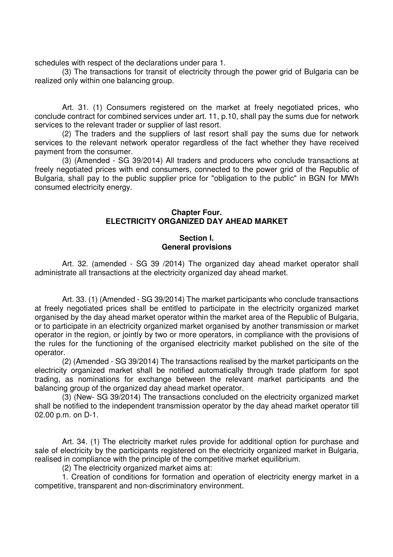schedules with respect of the declarations under para 1.

(3) The transactions for transit of electricity through the power grid of Bulgaria can be realized only within one balancing group.

Art. 31. (1) Consumers registered on the market at freely negotiated prices, who conclude contract for combined services under art. 11, p.10, shall pay the sums due for network services to the relevant trader or supplier of last resort.

(2) The traders and the suppliers of last resort shall pay the sums due for network services to the relevant network operator regardless of the fact whether they have received payment from the consumer.

(3) (Amended - SG 39/2014) All traders and producers who conclude transactions at freely negotiated prices with end consumers, connected to the power grid of the Republic of Bulgaria, shall pay to the public supplier price for "obligation to the public" in BGN for MWh consumed electricity energy.

### **Chapter Four. ELECTRICITY ORGANIZED DAY AHEAD MARKET**

## **Section I. General provisions**

Art. 32. (amended - SG 39 /2014) The organized day ahead market operator shall administrate all transactions at the electricity organized day ahead market.

Art. 33. (1) (Amended - SG 39/2014) The market participants who conclude transactions at freely negotiated prices shall be entitled to participate in the electricity organized market organised by the day ahead market operator within the market area of the Republic of Bulgaria, or to participate in an electricity organized market organised by another transmission or market operator in the region, or jointly by two or more operators, in compliance with the provisions of the rules for the functioning of the organised electricity market published on the site of the operator.

(2) (Amended - SG 39/2014) The transactions realised by the market participants on the electricity organized market shall be notified automatically through trade platform for spot trading, as nominations for exchange between the relevant market participants and the balancing group of the organized day ahead market operator.

(3) (New- SG 39/2014) The transactions concluded on the electricity organized market shall be notified to the independent transmission operator by the day ahead market operator till 02.00 p.m. on D-1.

Art. 34. (1) The electricity market rules provide for additional option for purchase and sale of electricity by the participants registered on the electricity organized market in Bulgaria, realised in compliance with the principle of the competitive market equilibrium.

(2) The electricity organized market aims at:

1. Creation of conditions for formation and operation of electricity energy market in a competitive, transparent and non-discriminatory environment.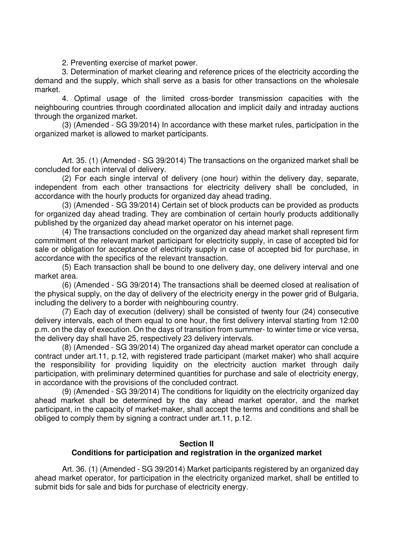2. Preventing exercise of market power.

3. Determination of market clearing and reference prices of the electricity according the demand and the supply, which shall serve as a basis for other transactions on the wholesale market.

4. Optimal usage of the limited cross-border transmission capacities with the neighbouring countries through coordinated allocation and implicit daily and intraday auctions through the organized market.

(3) (Amended - SG 39/2014) In accordance with these market rules, participation in the organized market is allowed to market participants.

Art. 35. (1) (Amended - SG 39/2014) The transactions on the organized market shall be concluded for each interval of delivery.

(2) For each single interval of delivery (one hour) within the delivery day, separate, independent from each other transactions for electricity delivery shall be concluded, in accordance with the hourly products for organized day ahead trading.

(3) (Amended - SG 39/2014) Certain set of block products can be provided as products for organized day ahead trading. They are combination of certain hourly products additionally published by the organized day ahead market operator on his internet page.

(4) The transactions concluded on the organized day ahead market shall represent firm commitment of the relevant market participant for electricity supply, in case of accepted bid for sale or obligation for acceptance of electricity supply in case of accepted bid for purchase, in accordance with the specifics of the relevant transaction.

(5) Each transaction shall be bound to one delivery day, one delivery interval and one market area.

(6) (Amended - SG 39/2014) The transactions shall be deemed closed at realisation of the physical supply, on the day of delivery of the electricity energy in the power grid of Bulgaria, including the delivery to a border with neighbouring country.

(7) Each day of execution (delivery) shall be consisted of twenty four (24) consecutive delivery intervals, each of them equal to one hour, the first delivery interval starting from 12:00 p.m. on the day of execution. On the days of transition from summer- to winter time or vice versa, the delivery day shall have 25, respectively 23 delivery intervals.

(8) (Amended - SG 39/2014) The organized day ahead market operator can conclude a contract under art.11, p.12, with registered trade participant (market maker) who shall acquire the responsibility for providing liquidity on the electricity auction market through daily participation, with preliminary determined quantities for purchase and sale of electricity energy, in accordance with the provisions of the concluded contract.

(9) (Amended - SG 39/2014) The conditions for liquidity on the electricity organized day ahead market shall be determined by the day ahead market operator, and the market participant, in the capacity of market-maker, shall accept the terms and conditions and shall be obliged to comply them by signing a contract under art.11, p.12.

## **Section II**

## **Conditions for participation and registration in the organized market**

Art. 36. (1) (Amended - SG 39/2014) Market participants registered by an organized day ahead market operator, for participation in the electricity organized market, shall be entitled to submit bids for sale and bids for purchase of electricity energy.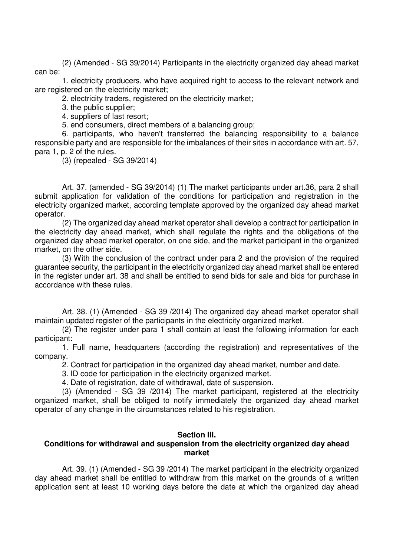(2) (Amended - SG 39/2014) Participants in the electricity organized day ahead market can be:

1. electricity producers, who have acquired right to access to the relevant network and are registered on the electricity market;

2. electricity traders, registered on the electricity market;

3. the public supplier;

4. suppliers of last resort;

5. end consumers, direct members of a balancing group;

6. participants, who haven't transferred the balancing responsibility to a balance responsible party and are responsible for the imbalances of their sites in accordance with art. 57, para 1, p. 2 of the rules.

(3) (repealed - SG 39/2014)

Art. 37. (amended - SG 39/2014) (1) The market participants under art.36, para 2 shall submit application for validation of the conditions for participation and registration in the electricity organized market, according template approved by the organized day ahead market operator.

(2) The organized day ahead market operator shall develop a contract for participation in the electricity day ahead market, which shall regulate the rights and the obligations of the organized day ahead market operator, on one side, and the market participant in the organized market, on the other side.

(3) With the conclusion of the contract under para 2 and the provision of the required guarantee security, the participant in the electricity organized day ahead market shall be entered in the register under art. 38 and shall be entitled to send bids for sale and bids for purchase in accordance with these rules.

Art. 38. (1) (Amended - SG 39 /2014) The organized day ahead market operator shall maintain updated register of the participants in the electricity organized market.

(2) The register under para 1 shall contain at least the following information for each participant:

1. Full name, headquarters (according the registration) and representatives of the company.

2. Contract for participation in the organized day ahead market, number and date.

3. ID code for participation in the electricity organized market.

4. Date of registration, date of withdrawal, date of suspension.

(3) (Amended - SG 39 /2014) The market participant, registered at the electricity organized market, shall be obliged to notify immediately the organized day ahead market operator of any change in the circumstances related to his registration.

### **Section III.**

## **Conditions for withdrawal and suspension from the electricity organized day ahead market**

Art. 39. (1) (Amended - SG 39 /2014) The market participant in the electricity organized day ahead market shall be entitled to withdraw from this market on the grounds of a written application sent at least 10 working days before the date at which the organized day ahead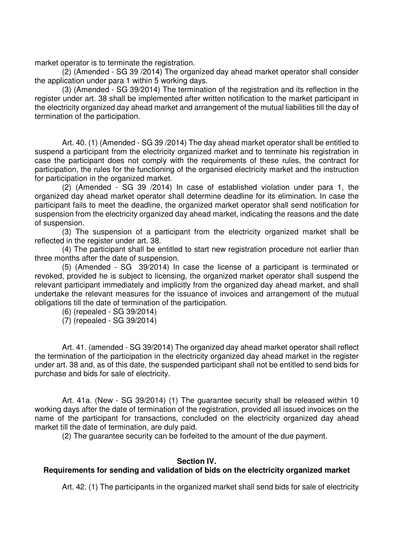market operator is to terminate the registration.

(2) (Amended - SG 39 /2014) The organized day ahead market operator shall consider the application under para 1 within 5 working days.

(3) (Amended - SG 39/2014) The termination of the registration and its reflection in the register under art. 38 shall be implemented after written notification to the market participant in the electricity organized day ahead market and arrangement of the mutual liabilities till the day of termination of the participation.

Art. 40. (1) (Amended - SG 39 /2014) The day ahead market operator shall be entitled to suspend a participant from the electricity organized market and to terminate his registration in case the participant does not comply with the requirements of these rules, the contract for participation, the rules for the functioning of the organised electricity market and the instruction for participation in the organized market.

(2) (Amended - SG 39 /2014) In case of established violation under para 1, the organized day ahead market operator shall determine deadline for its elimination. In case the participant fails to meet the deadline, the organized market operator shall send notification for suspension from the electricity organized day ahead market, indicating the reasons and the date of suspension.

(3) The suspension of a participant from the electricity organized market shall be reflected in the register under art. 38.

(4) The participant shall be entitled to start new registration procedure not earlier than three months after the date of suspension.

(5) (Amended - SG 39/2014) In case the license of a participant is terminated or revoked, provided he is subject to licensing, the organized market operator shall suspend the relevant participant immediately and implicitly from the organized day ahead market, and shall undertake the relevant measures for the issuance of invoices and arrangement of the mutual obligations till the date of termination of the participation.

(6) (repealed - SG 39/2014)

(7) (repealed - SG 39/2014)

Art. 41. (amended - SG 39/2014) The organized day ahead market operator shall reflect the termination of the participation in the electricity organized day ahead market in the register under art. 38 and, as of this date, the suspended participant shall not be entitled to send bids for purchase and bids for sale of electricity.

Art. 41a. (New - SG 39/2014) (1) The guarantee security shall be released within 10 working days after the date of termination of the registration, provided all issued invoices on the name of the participant for transactions, concluded on the electricity organized day ahead market till the date of termination, are duly paid.

(2) The guarantee security can be forfeited to the amount of the due payment.

### **Section IV.**

## **Requirements for sending and validation of bids on the electricity organized market**

Art. 42. (1) The participants in the organized market shall send bids for sale of electricity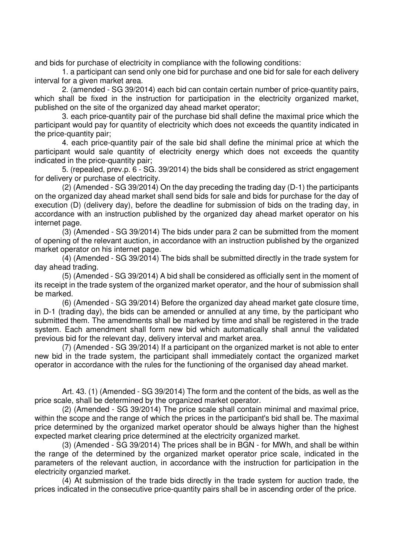and bids for purchase of electricity in compliance with the following conditions:

1. a participant can send only one bid for purchase and one bid for sale for each delivery interval for a given market area.

2. (amended - SG 39/2014) each bid can contain certain number of price-quantity pairs, which shall be fixed in the instruction for participation in the electricity organized market, published on the site of the organized day ahead market operator;

3. each price-quantity pair of the purchase bid shall define the maximal price which the participant would pay for quantity of electricity which does not exceeds the quantity indicated in the price-quantity pair;

4. each price-quantity pair of the sale bid shall define the minimal price at which the participant would sale quantity of electricity energy which does not exceeds the quantity indicated in the price-quantity pair;

5. (repealed, prev.p. 6 - SG. 39/2014) the bids shall be considered as strict engagement for delivery or purchase of electricity.

(2) (Amended - SG 39/2014) On the day preceding the trading day (D-1) the participants on the organized day ahead market shall send bids for sale and bids for purchase for the day of execution (D) (delivery day), before the deadline for submission of bids on the trading day, in accordance with an instruction published by the organized day ahead market operator on his internet page.

(3) (Amended - SG 39/2014) The bids under para 2 can be submitted from the moment of opening of the relevant auction, in accordance with an instruction published by the organized market operator on his internet page.

(4) (Amended - SG 39/2014) The bids shall be submitted directly in the trade system for day ahead trading.

(5) (Amended - SG 39/2014) A bid shall be considered as officially sent in the moment of its receipt in the trade system of the organized market operator, and the hour of submission shall be marked.

(6) (Amended - SG 39/2014) Before the organized day ahead market gate closure time, in D-1 (trading day), the bids can be amended or annulled at any time, by the participant who submitted them. The amendments shall be marked by time and shall be registered in the trade system. Each amendment shall form new bid which automatically shall annul the validated previous bid for the relevant day, delivery interval and market area.

(7) (Amended - SG 39/2014) If a participant on the organized market is not able to enter new bid in the trade system, the participant shall immediately contact the organized market operator in accordance with the rules for the functioning of the organised day ahead market.

Art. 43. (1) (Amended - SG 39/2014) The form and the content of the bids, as well as the price scale, shall be determined by the organized market operator.

(2) (Amended - SG 39/2014) The price scale shall contain minimal and maximal price, within the scope and the range of which the prices in the participant's bid shall be. The maximal price determined by the organized market operator should be always higher than the highest expected market clearing price determined at the electricity organized market.

(3) (Amended - SG 39/2014) The prices shall be in BGN - for MWh, and shall be within the range of the determined by the organized market operator price scale, indicated in the parameters of the relevant auction, in accordance with the instruction for participation in the electricity organzied market.

(4) At submission of the trade bids directly in the trade system for auction trade, the prices indicated in the consecutive price-quantity pairs shall be in ascending order of the price.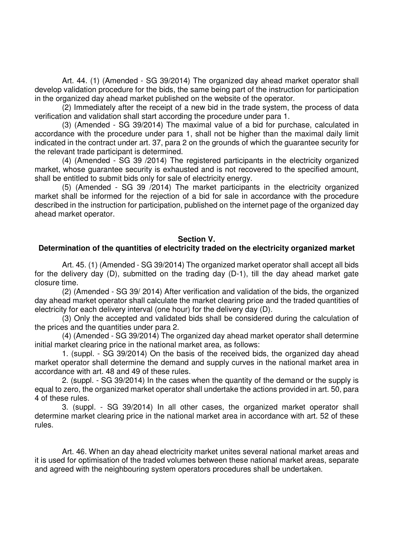Art. 44. (1) (Amended - SG 39/2014) The organized day ahead market operator shall develop validation procedure for the bids, the same being part of the instruction for participation in the organized day ahead market published on the website of the operator.

(2) Immediately after the receipt of a new bid in the trade system, the process of data verification and validation shall start according the procedure under para 1.

(3) (Amended - SG 39/2014) The maximal value of a bid for purchase, calculated in accordance with the procedure under para 1, shall not be higher than the maximal daily limit indicated in the contract under art. 37, para 2 on the grounds of which the guarantee security for the relevant trade participant is determined.

(4) (Amended - SG 39 /2014) The registered participants in the electricity organized market, whose guarantee security is exhausted and is not recovered to the specified amount, shall be entitled to submit bids only for sale of electricity energy.

(5) (Amended - SG 39 /2014) The market participants in the electricity organized market shall be informed for the rejection of a bid for sale in accordance with the procedure described in the instruction for participation, published on the internet page of the organized day ahead market operator.

### **Section V.**

### **Determination of the quantities of electricity traded on the electricity organized market**

Art. 45. (1) (Amended - SG 39/2014) The organized market operator shall accept all bids for the delivery day (D), submitted on the trading day (D-1), till the day ahead market gate closure time.

(2) (Amended - SG 39/ 2014) After verification and validation of the bids, the organized day ahead market operator shall calculate the market clearing price and the traded quantities of electricity for each delivery interval (one hour) for the delivery day (D).

(3) Only the accepted and validated bids shall be considered during the calculation of the prices and the quantities under para 2.

(4) (Amended - SG 39/2014) The organized day ahead market operator shall determine initial market clearing price in the national market area, as follows:

1. (suppl. - SG 39/2014) On the basis of the received bids, the organized day ahead market operator shall determine the demand and supply curves in the national market area in accordance with art. 48 and 49 of these rules.

2. (suppl. - SG 39/2014) In the cases when the quantity of the demand or the supply is equal to zero, the organized market operator shall undertake the actions provided in art. 50, para 4 of these rules.

3. (suppl. - SG 39/2014) In all other cases, the organized market operator shall determine market clearing price in the national market area in accordance with art. 52 of these rules.

Art. 46. When an day ahead electricity market unites several national market areas and it is used for optimisation of the traded volumes between these national market areas, separate and agreed with the neighbouring system operators procedures shall be undertaken.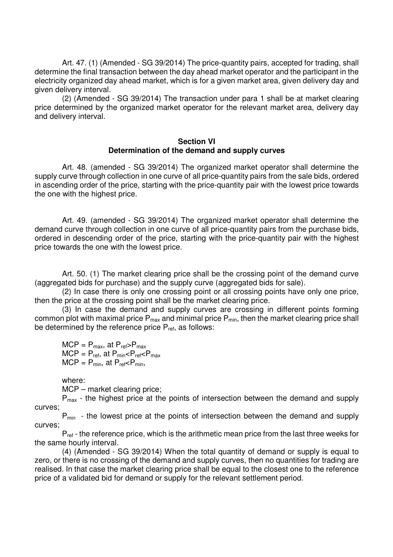Art. 47. (1) (Amended - SG 39/2014) The price-quantity pairs, accepted for trading, shall determine the final transaction between the day ahead market operator and the participant in the electricity organized day ahead market, which is for a given market area, given delivery day and given delivery interval.

(2) (Amended - SG 39/2014) The transaction under para 1 shall be at market clearing price determined by the organized market operator for the relevant market area, delivery day and delivery interval.

#### **Section VI Determination of the demand and supply curves**

Art. 48. (amended - SG 39/2014) The organized market operator shall determine the supply curve through collection in one curve of all price-quantity pairs from the sale bids, ordered in ascending order of the price, starting with the price-quantity pair with the lowest price towards the one with the highest price.

Art. 49. (amended - SG 39/2014) The organized market operator shall determine the demand curve through collection in one curve of all price-quantity pairs from the purchase bids, ordered in descending order of the price, starting with the price-quantity pair with the highest price towards the one with the lowest price.

Art. 50. (1) The market clearing price shall be the crossing point of the demand curve (aggregated bids for purchase) and the supply curve (aggregated bids for sale).

(2) In case there is only one crossing point or all crossing points have only one price, then the price at the crossing point shall be the market clearing price.

(3) In case the demand and supply curves are crossing in different points forming common plot with maximal price  $P_{max}$  and minimal price  $P_{min}$ , then the market clearing price shall be determined by the reference price  $P_{ref}$ , as follows:

 $MCP = P_{max}$ , at  $P_{ref} > P_{max}$  $MCP = P_{ref}$ , at  $P_{min} < P_{ref} < P_{max}$  $MCP = P_{min}$ , at  $P_{ref} < P_{min}$ ,

where:

MCP – market clearing price;

P<sub>max</sub> - the highest price at the points of intersection between the demand and supply curves;

P<sub>min</sub> - the lowest price at the points of intersection between the demand and supply curves;

 $P_{ref}$  - the reference price, which is the arithmetic mean price from the last three weeks for the same hourly interval.

(4) (Amended - SG 39/2014) When the total quantity of demand or supply is equal to zero, or there is no crossing of the demand and supply curves, then no quantities for trading are realised. In that case the market clearing price shall be equal to the closest one to the reference price of a validated bid for demand or supply for the relevant settlement period.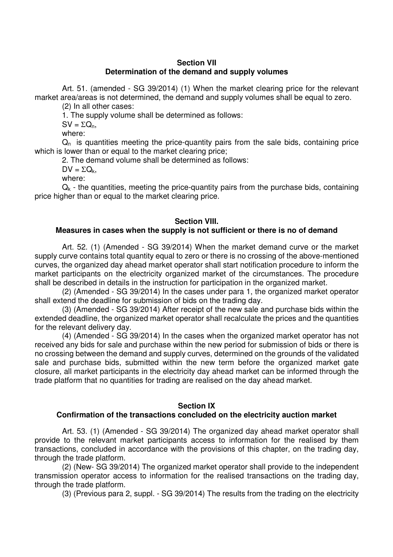## **Section VII Determination of the demand and supply volumes**

Art. 51. (amended - SG 39/2014) (1) When the market clearing price for the relevant market area/areas is not determined, the demand and supply volumes shall be equal to zero.

(2) In all other cases:

1. The supply volume shall be determined as follows:

 $SV = \Sigma Q_n$ 

where:

 $Q_n$  is quantities meeting the price-quantity pairs from the sale bids, containing price which is lower than or equal to the market clearing price;

2. The demand volume shall be determined as follows:

 $DV = \Sigma Q_k$ 

where:

 $Q_k$  - the quantities, meeting the price-quantity pairs from the purchase bids, containing price higher than or equal to the market clearing price.

# **Section VIII.**

# **Measures in cases when the supply is not sufficient or there is no of demand**

Art. 52. (1) (Amended - SG 39/2014) When the market demand curve or the market supply curve contains total quantity equal to zero or there is no crossing of the above-mentioned curves, the organized day ahead market operator shall start notification procedure to inform the market participants on the electricity organized market of the circumstances. The procedure shall be described in details in the instruction for participation in the organized market.

(2) (Amended - SG 39/2014) In the cases under para 1, the organized market operator shall extend the deadline for submission of bids on the trading day.

(3) (Amended - SG 39/2014) After receipt of the new sale and purchase bids within the extended deadline, the organized market operator shall recalculate the prices and the quantities for the relevant delivery day.

(4) (Amended - SG 39/2014) In the cases when the organized market operator has not received any bids for sale and purchase within the new period for submission of bids or there is no crossing between the demand and supply curves, determined on the grounds of the validated sale and purchase bids, submitted within the new term before the organized market gate closure, all market participants in the electricity day ahead market can be informed through the trade platform that no quantities for trading are realised on the day ahead market.

## **Section IX**

# **Confirmation of the transactions concluded on the electricity auction market**

Art. 53. (1) (Amended - SG 39/2014) The organized day ahead market operator shall provide to the relevant market participants access to information for the realised by them transactions, concluded in accordance with the provisions of this chapter, on the trading day, through the trade platform.

(2) (New- SG 39/2014) The organized market operator shall provide to the independent transmission operator access to information for the realised transactions on the trading day, through the trade platform.

(3) (Previous para 2, suppl. - SG 39/2014) The results from the trading on the electricity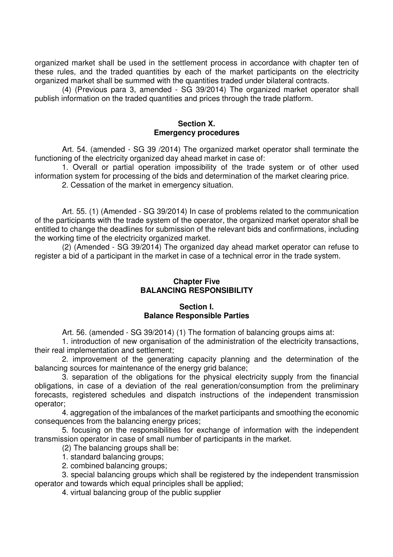organized market shall be used in the settlement process in accordance with chapter ten of these rules, and the traded quantities by each of the market participants on the electricity organized market shall be summed with the quantities traded under bilateral contracts.

(4) (Previous para 3, amended - SG 39/2014) The organized market operator shall publish information on the traded quantities and prices through the trade platform.

### **Section X. Emergency procedures**

Art. 54. (amended - SG 39 /2014) The organized market operator shall terminate the functioning of the electricity organized day ahead market in case of:

1. Overall or partial operation impossibility of the trade system or of other used information system for processing of the bids and determination of the market clearing price.

2. Cessation of the market in emergency situation.

Art. 55. (1) (Amended - SG 39/2014) In case of problems related to the communication of the participants with the trade system of the operator, the organized market operator shall be entitled to change the deadlines for submission of the relevant bids and confirmations, including the working time of the electricity organized market.

(2) (Amended - SG 39/2014) The organized day ahead market operator can refuse to register a bid of a participant in the market in case of a technical error in the trade system.

## **Chapter Five BALANCING RESPONSIBILITY**

## **Section I. Balance Responsible Parties**

Art. 56. (amended - SG 39/2014) (1) The formation of balancing groups aims at:

1. introduction of new organisation of the administration of the electricity transactions, their real implementation and settlement;

2. improvement of the generating capacity planning and the determination of the balancing sources for maintenance of the energy grid balance;

3. separation of the obligations for the physical electricity supply from the financial obligations, in case of a deviation of the real generation/consumption from the preliminary forecasts, registered schedules and dispatch instructions of the independent transmission operator;

4. aggregation of the imbalances of the market participants and smoothing the economic consequences from the balancing energy prices;

5. focusing on the responsibilities for exchange of information with the independent transmission operator in case of small number of participants in the market.

(2) The balancing groups shall be:

1. standard balancing groups;

2. combined balancing groups;

3. special balancing groups which shall be registered by the independent transmission operator and towards which equal principles shall be applied;

4. virtual balancing group of the public supplier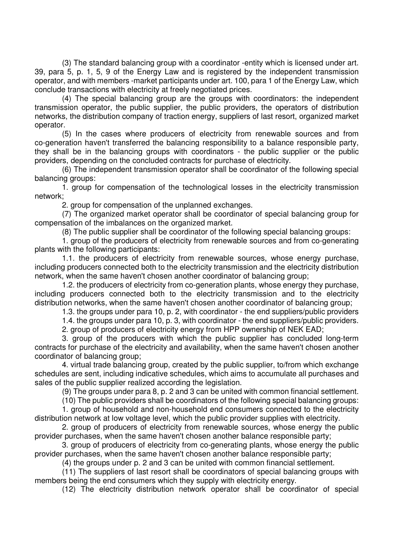(3) The standard balancing group with a coordinator -entity which is licensed under art. 39, para 5, p. 1, 5, 9 of the Energy Law and is registered by the independent transmission operator, and with members -market participants under art. 100, para 1 of the Energy Law, which conclude transactions with electricity at freely negotiated prices.

(4) The special balancing group are the groups with coordinators: the independent transmission operator, the public supplier, the public providers, the operators of distribution networks, the distribution company of traction energy, suppliers of last resort, organized market operator.

(5) In the cases where producers of electricity from renewable sources and from co-generation haven't transferred the balancing responsibility to a balance responsible party, they shall be in the balancing groups with coordinators - the public supplier or the public providers, depending on the concluded contracts for purchase of electricity.

(6) The independent transmission operator shall be coordinator of the following special balancing groups:

1. group for compensation of the technological losses in the electricity transmission network;

2. group for compensation of the unplanned exchanges.

(7) The organized market operator shall be coordinator of special balancing group for compensation of the imbalances on the organized market.

(8) The public supplier shall be coordinator of the following special balancing groups:

1. group of the producers of electricity from renewable sources and from co-generating plants with the following participants:

1.1. the producers of electricity from renewable sources, whose energy purchase, including producers connected both to the electricity transmission and the electricity distribution network, when the same haven't chosen another coordinator of balancing group;

1.2. the producers of electricity from co-generation plants, whose energy they purchase, including producers connected both to the electricity transmission and to the electricity distribution networks, when the same haven't chosen another coordinator of balancing group;

1.3. the groups under para 10, p. 2, with coordinator - the end suppliers/public providers

1.4. the groups under para 10, p. 3, with coordinator - the end suppliers/public providers.

2. group of producers of electricity energy from HPP ownership of NEK EAD;

3. group of the producers with which the public supplier has concluded long-term contracts for purchase of the electricity and availability, when the same haven't chosen another coordinator of balancing group;

4. virtual trade balancing group, created by the public supplier, to/from which exchange schedules are sent, including indicative schedules, which aims to accumulate all purchases and sales of the public supplier realized according the legislation.

(9) The groups under para 8, p. 2 and 3 can be united with common financial settlement.

(10) The public providers shall be coordinators of the following special balancing groups:

1. group of household and non-household end consumers connected to the electricity distribution network at low voltage level, which the public provider supplies with electricity.

2. group of producers of electricity from renewable sources, whose energy the public provider purchases, when the same haven't chosen another balance responsible party;

3. group of producers of electricity from co-generating plants, whose energy the public provider purchases, when the same haven't chosen another balance responsible party;

(4) the groups under p. 2 and 3 can be united with common financial settlement.

(11) The suppliers of last resort shall be coordinators of special balancing groups with members being the end consumers which they supply with electricity energy.

(12) The electricity distribution network operator shall be coordinator of special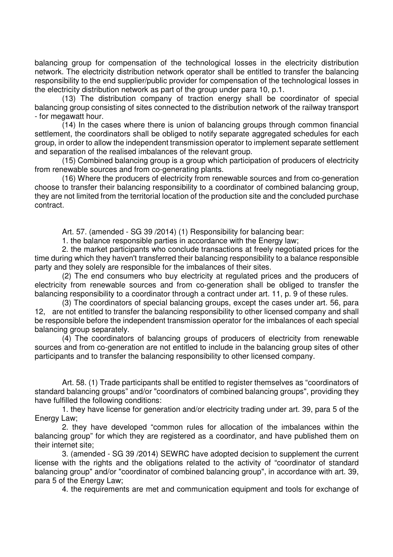balancing group for compensation of the technological losses in the electricity distribution network. The electricity distribution network operator shall be entitled to transfer the balancing responsibility to the end supplier/public provider for compensation of the technological losses in the electricity distribution network as part of the group under para 10, p.1.

(13) The distribution company of traction energy shall be coordinator of special balancing group consisting of sites connected to the distribution network of the railway transport - for megawatt hour.

(14) In the cases where there is union of balancing groups through common financial settlement, the coordinators shall be obliged to notify separate aggregated schedules for each group, in order to allow the independent transmission operator to implement separate settlement and separation of the realised imbalances of the relevant group.

(15) Combined balancing group is a group which participation of producers of electricity from renewable sources and from co-generating plants.

(16) Where the producers of electricity from renewable sources and from co-generation choose to transfer their balancing responsibility to a coordinator of combined balancing group, they are not limited from the territorial location of the production site and the concluded purchase contract.

Art. 57. (amended - SG 39 /2014) (1) Responsibility for balancing bear:

1. the balance responsible parties in accordance with the Energy law;

2. the market participants who conclude transactions at freely negotiated prices for the time during which they haven't transferred their balancing responsibility to a balance responsible party and they solely are responsible for the imbalances of their sites.

(2) The end consumers who buy electricity at regulated prices and the producers of electricity from renewable sources and from co-generation shall be obliged to transfer the balancing responsibility to a coordinator through a contract under art. 11, p. 9 of these rules.

(3) The coordinators of special balancing groups, except the cases under art. 56, para 12, are not entitled to transfer the balancing responsibility to other licensed company and shall be responsible before the independent transmission operator for the imbalances of each special balancing group separately.

(4) The coordinators of balancing groups of producers of electricity from renewable sources and from co-generation are not entitled to include in the balancing group sites of other participants and to transfer the balancing responsibility to other licensed company.

Art. 58. (1) Trade participants shall be entitled to register themselves as "coordinators of standard balancing groups" and/or "coordinators of combined balancing groups", providing they have fulfilled the following conditions:

1. they have license for generation and/or electricity trading under art. 39, para 5 of the Energy Law;

2. they have developed "common rules for allocation of the imbalances within the balancing group" for which they are registered as a coordinator, and have published them on their internet site;

3. (amended - SG 39 /2014) SEWRC have adopted decision to supplement the current license with the rights and the obligations related to the activity of "coordinator of standard balancing group" and/or "coordinator of combined balancing group", in accordance with art. 39, para 5 of the Energy Law;

4. the requirements are met and communication equipment and tools for exchange of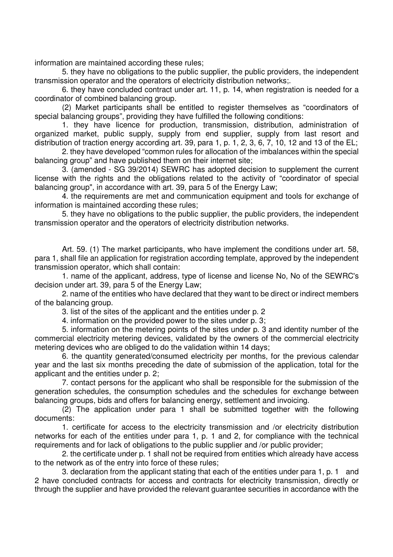information are maintained according these rules;

5. they have no obligations to the public supplier, the public providers, the independent transmission operator and the operators of electricity distribution networks;.

6. they have concluded contract under art. 11, p. 14, when registration is needed for a coordinator of combined balancing group.

(2) Market participants shall be entitled to register themselves as "coordinators of special balancing groups", providing they have fulfilled the following conditions:

1. they have licence for production, transmission, distribution, administration of organized market, public supply, supply from end supplier, supply from last resort and distribution of traction energy according art. 39, para 1, p. 1, 2, 3, 6, 7, 10, 12 and 13 of the EL;

2. they have developed "common rules for allocation of the imbalances within the special balancing group" and have published them on their internet site;

3. (amended - SG 39/2014) SEWRC has adopted decision to supplement the current license with the rights and the obligations related to the activity of "coordinator of special balancing group", in accordance with art. 39, para 5 of the Energy Law;

4. the requirements are met and communication equipment and tools for exchange of information is maintained according these rules;

5. they have no obligations to the public supplier, the public providers, the independent transmission operator and the operators of electricity distribution networks.

Art. 59. (1) The market participants, who have implement the conditions under art. 58, para 1, shall file an application for registration according template, approved by the independent transmission operator, which shall contain:

1. name of the applicant, address, type of license and license No, No of the SEWRC's decision under art. 39, para 5 of the Energy Law;

2. name of the entities who have declared that they want to be direct or indirect members of the balancing group.

3. list of the sites of the applicant and the entities under p. 2

4. information on the provided power to the sites under p. 3;

5. information on the metering points of the sites under p. 3 and identity number of the commercial electricity metering devices, validated by the owners of the commercial electricity metering devices who are obliged to do the validation within 14 days;

6. the quantity generated/consumed electricity per months, for the previous calendar year and the last six months preceding the date of submission of the application, total for the applicant and the entities under p. 2;

7. contact persons for the applicant who shall be responsible for the submission of the generation schedules, the consumption schedules and the schedules for exchange between balancing groups, bids and offers for balancing energy, settlement and invoicing.

(2) The application under para 1 shall be submitted together with the following documents:

1. certificate for access to the electricity transmission and /or electricity distribution networks for each of the entities under para 1, p. 1 and 2, for compliance with the technical requirements and for lack of obligations to the public supplier and /or public provider;

2. the certificate under p. 1 shall not be required from entities which already have access to the network as of the entry into force of these rules;

3. declaration from the applicant stating that each of the entities under para 1, p. 1 and 2 have concluded contracts for access and contracts for electricity transmission, directly or through the supplier and have provided the relevant guarantee securities in accordance with the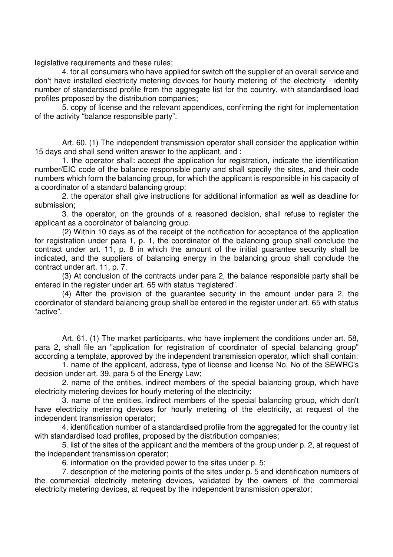legislative requirements and these rules;

4. for all consumers who have applied for switch off the supplier of an overall service and don't have installed electricity metering devices for hourly metering of the electricity - identity number of standardised profile from the aggregate list for the country, with standardised load profiles proposed by the distribution companies;

5. copy of license and the relevant appendices, confirming the right for implementation of the activity "balance responsible party".

Art. 60. (1) The independent transmission operator shall consider the application within 15 days and shall send written answer to the applicant, and :

1. the operator shall: accept the application for registration, indicate the identification number/EIC code of the balance responsible party and shall specify the sites, and their code numbers which form the balancing group, for which the applicant is responsible in his capacity of a coordinator of a standard balancing group;

2. the operator shall give instructions for additional information as well as deadline for submission;

3. the operator, on the grounds of a reasoned decision, shall refuse to register the applicant as a coordinator of balancing group.

(2) Within 10 days as of the receipt of the notification for acceptance of the application for registration under para 1, p. 1, the coordinator of the balancing group shall conclude the contract under art. 11, p. 8 in which the amount of the initial guarantee security shall be indicated, and the suppliers of balancing energy in the balancing group shall conclude the contract under art. 11, p. 7.

(3) At conclusion of the contracts under para 2, the balance responsible party shall be entered in the register under art. 65 with status "registered".

(4) After the provision of the guarantee security in the amount under para 2, the coordinator of standard balancing group shall be entered in the register under art. 65 with status "active".

Art. 61. (1) The market participants, who have implement the conditions under art. 58, para 2, shall file an "application for registration of coordinator of special balancing group" according a template, approved by the independent transmission operator, which shall contain:

1. name of the applicant, address, type of license and license No, No of the SEWRC's decision under art. 39, para 5 of the Energy Law;

2. name of the entities, indirect members of the special balancing group, which have electricity metering devices for hourly metering of the electricity;

3. name of the entities, indirect members of the special balancing group, which don't have electricity metering devices for hourly metering of the electricity, at request of the independent transmission operator;

4. identification number of a standardised profile from the aggregated for the country list with standardised load profiles, proposed by the distribution companies;

5. list of the sites of the applicant and the members of the group under p. 2, at request of the independent transmission operator;

6. information on the provided power to the sites under p. 5;

7. description of the metering points of the sites under p. 5 and identification numbers of the commercial electricity metering devices, validated by the owners of the commercial electricity metering devices, at request by the independent transmission operator;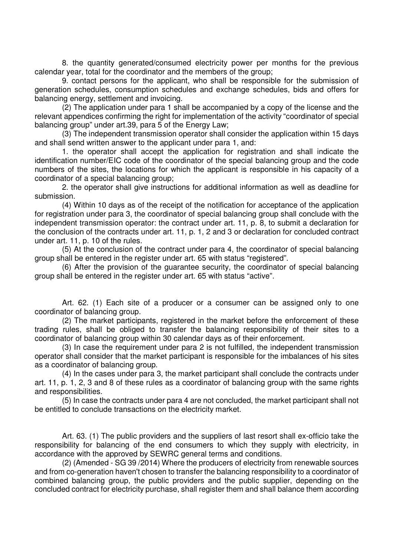8. the quantity generated/consumed electricity power per months for the previous calendar year, total for the coordinator and the members of the group;

9. contact persons for the applicant, who shall be responsible for the submission of generation schedules, consumption schedules and exchange schedules, bids and offers for balancing energy, settlement and invoicing.

(2) The application under para 1 shall be accompanied by a copy of the license and the relevant appendices confirming the right for implementation of the activity "coordinator of special balancing group" under art.39, para 5 of the Energy Law;

(3) The independent transmission operator shall consider the application within 15 days and shall send written answer to the applicant under para 1, and:

1. the operator shall accept the application for registration and shall indicate the identification number/EIC code of the coordinator of the special balancing group and the code numbers of the sites, the locations for which the applicant is responsible in his capacity of a coordinator of a special balancing group;

2. the operator shall give instructions for additional information as well as deadline for submission.

(4) Within 10 days as of the receipt of the notification for acceptance of the application for registration under para 3, the coordinator of special balancing group shall conclude with the independent transmission operator: the contract under art. 11, p. 8, to submit a declaration for the conclusion of the contracts under art. 11, p. 1, 2 and 3 or declaration for concluded contract under art. 11, p. 10 of the rules.

(5) At the conclusion of the contract under para 4, the coordinator of special balancing group shall be entered in the register under art. 65 with status "registered".

(6) After the provision of the guarantee security, the coordinator of special balancing group shall be entered in the register under art. 65 with status "active".

Art. 62. (1) Each site of a producer or a consumer can be assigned only to one coordinator of balancing group.

(2) The market participants, registered in the market before the enforcement of these trading rules, shall be obliged to transfer the balancing responsibility of their sites to a coordinator of balancing group within 30 calendar days as of their enforcement.

(3) In case the requirement under para 2 is not fulfilled, the independent transmission operator shall consider that the market participant is responsible for the imbalances of his sites as a coordinator of balancing group.

(4) In the cases under para 3, the market participant shall conclude the contracts under art. 11, p. 1, 2, 3 and 8 of these rules as a coordinator of balancing group with the same rights and responsibilities.

(5) In case the contracts under para 4 are not concluded, the market participant shall not be entitled to conclude transactions on the electricity market.

Art. 63. (1) The public providers and the suppliers of last resort shall ex-officio take the responsibility for balancing of the end consumers to which they supply with electricity, in accordance with the approved by SEWRC general terms and conditions.

(2) (Amended - SG 39 /2014) Where the producers of electricity from renewable sources and from co-generation haven't chosen to transfer the balancing responsibility to a coordinator of combined balancing group, the public providers and the public supplier, depending on the concluded contract for electricity purchase, shall register them and shall balance them according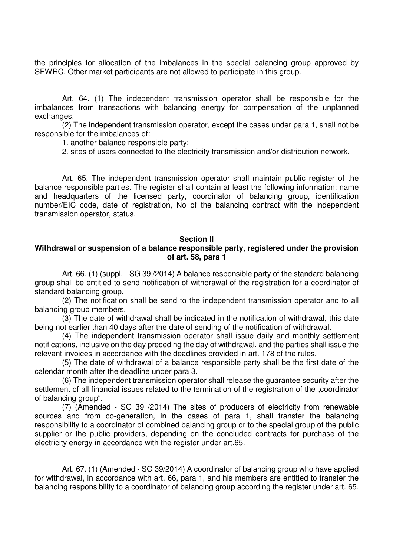the principles for allocation of the imbalances in the special balancing group approved by SEWRC. Other market participants are not allowed to participate in this group.

Art. 64. (1) The independent transmission operator shall be responsible for the imbalances from transactions with balancing energy for compensation of the unplanned exchanges.

(2) The independent transmission operator, except the cases under para 1, shall not be responsible for the imbalances of:

1. another balance responsible party;

2. sites of users connected to the electricity transmission and/or distribution network.

Art. 65. The independent transmission operator shall maintain public register of the balance responsible parties. The register shall contain at least the following information: name and headquarters of the licensed party, coordinator of balancing group, identification number/EIC code, date of registration, No of the balancing contract with the independent transmission operator, status.

#### **Section II**

## **Withdrawal or suspension of a balance responsible party, registered under the provision of art. 58, para 1**

Art. 66. (1) (suppl. - SG 39 /2014) A balance responsible party of the standard balancing group shall be entitled to send notification of withdrawal of the registration for a coordinator of standard balancing group.

(2) The notification shall be send to the independent transmission operator and to all balancing group members.

(3) The date of withdrawal shall be indicated in the notification of withdrawal, this date being not earlier than 40 days after the date of sending of the notification of withdrawal.

(4) The independent transmission operator shall issue daily and monthly settlement notifications, inclusive on the day preceding the day of withdrawal, and the parties shall issue the relevant invoices in accordance with the deadlines provided in art. 178 of the rules.

(5) The date of withdrawal of a balance responsible party shall be the first date of the calendar month after the deadline under para 3.

(6) The independent transmission operator shall release the guarantee security after the settlement of all financial issues related to the termination of the registration of the ..coordinator of balancing group".

(7) (Amended - SG 39 /2014) The sites of producers of electricity from renewable sources and from co-generation, in the cases of para 1, shall transfer the balancing responsibility to a coordinator of combined balancing group or to the special group of the public supplier or the public providers, depending on the concluded contracts for purchase of the electricity energy in accordance with the register under art.65.

Art. 67. (1) (Amended - SG 39/2014) A coordinator of balancing group who have applied for withdrawal, in accordance with art. 66, para 1, and his members are entitled to transfer the balancing responsibility to a coordinator of balancing group according the register under art. 65.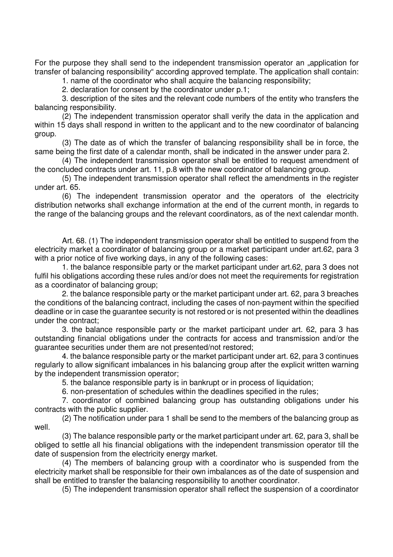For the purpose they shall send to the independent transmission operator an "application for transfer of balancing responsibility" according approved template. The application shall contain:

1. name of the coordinator who shall acquire the balancing responsibility;

2. declaration for consent by the coordinator under p.1;

3. description of the sites and the relevant code numbers of the entity who transfers the balancing responsibility.

(2) The independent transmission operator shall verify the data in the application and within 15 days shall respond in written to the applicant and to the new coordinator of balancing group.

(3) The date as of which the transfer of balancing responsibility shall be in force, the same being the first date of a calendar month, shall be indicated in the answer under para 2.

(4) The independent transmission operator shall be entitled to request amendment of the concluded contracts under art. 11, p.8 with the new coordinator of balancing group.

(5) The independent transmission operator shall reflect the amendments in the register under art. 65.

(6) The independent transmission operator and the operators of the electricity distribution networks shall exchange information at the end of the current month, in regards to the range of the balancing groups and the relevant coordinators, as of the next calendar month.

Art. 68. (1) The independent transmission operator shall be entitled to suspend from the electricity market a coordinator of balancing group or a market participant under art.62, para 3 with a prior notice of five working days, in any of the following cases:

1. the balance responsible party or the market participant under art.62, para 3 does not fulfil his obligations according these rules and/or does not meet the requirements for registration as a coordinator of balancing group;

2. the balance responsible party or the market participant under art. 62, para 3 breaches the conditions of the balancing contract, including the cases of non-payment within the specified deadline or in case the guarantee security is not restored or is not presented within the deadlines under the contract;

3. the balance responsible party or the market participant under art. 62, para 3 has outstanding financial obligations under the contracts for access and transmission and/or the guarantee securities under them are not presented/not restored;

4. the balance responsible party or the market participant under art. 62, para 3 continues regularly to allow significant imbalances in his balancing group after the explicit written warning by the independent transmission operator;

5. the balance responsible party is in bankrupt or in process of liquidation;

6. non-presentation of schedules within the deadlines specified in the rules;

7. coordinator of combined balancing group has outstanding obligations under his contracts with the public supplier.

(2) The notification under para 1 shall be send to the members of the balancing group as well.

(3) The balance responsible party or the market participant under art. 62, para 3, shall be obliged to settle all his financial obligations with the independent transmission operator till the date of suspension from the electricity energy market.

(4) The members of balancing group with a coordinator who is suspended from the electricity market shall be responsible for their own imbalances as of the date of suspension and shall be entitled to transfer the balancing responsibility to another coordinator.

(5) The independent transmission operator shall reflect the suspension of a coordinator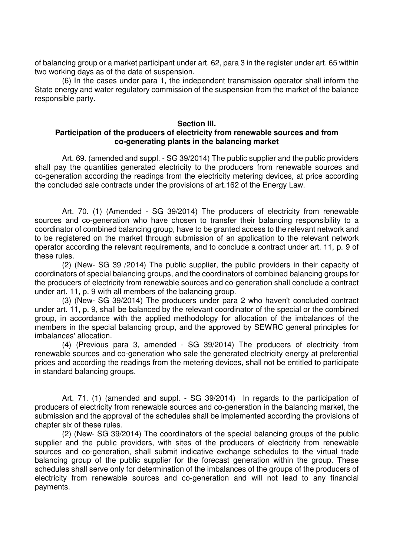of balancing group or a market participant under art. 62, para 3 in the register under art. 65 within two working days as of the date of suspension.

(6) In the cases under para 1, the independent transmission operator shall inform the State energy and water regulatory commission of the suspension from the market of the balance responsible party.

#### **Section III. Participation of the producers of electricity from renewable sources and from co-generating plants in the balancing market**

Art. 69. (amended and suppl. - SG 39/2014) The public supplier and the public providers shall pay the quantities generated electricity to the producers from renewable sources and co-generation according the readings from the electricity metering devices, at price according the concluded sale contracts under the provisions of art.162 of the Energy Law.

Art. 70. (1) (Amended - SG 39/2014) The producers of electricity from renewable sources and co-generation who have chosen to transfer their balancing responsibility to a coordinator of combined balancing group, have to be granted access to the relevant network and to be registered on the market through submission of an application to the relevant network operator according the relevant requirements, and to conclude a contract under art. 11, p. 9 of these rules.

(2) (New- SG 39 /2014) The public supplier, the public providers in their capacity of coordinators of special balancing groups, and the coordinators of combined balancing groups for the producers of electricity from renewable sources and co-generation shall conclude a contract under art. 11, p. 9 with all members of the balancing group.

(3) (New- SG 39/2014) The producers under para 2 who haven't concluded contract under art. 11, p. 9, shall be balanced by the relevant coordinator of the special or the combined group, in accordance with the applied methodology for allocation of the imbalances of the members in the special balancing group, and the approved by SEWRC general principles for imbalances' allocation.

(4) (Previous para 3, amended - SG 39/2014) The producers of electricity from renewable sources and co-generation who sale the generated electricity energy at preferential prices and according the readings from the metering devices, shall not be entitled to participate in standard balancing groups.

Art. 71. (1) (amended and suppl. - SG 39/2014) In regards to the participation of producers of electricity from renewable sources and co-generation in the balancing market, the submission and the approval of the schedules shall be implemented according the provisions of chapter six of these rules.

(2) (New- SG 39/2014) The coordinators of the special balancing groups of the public supplier and the public providers, with sites of the producers of electricity from renewable sources and co-generation, shall submit indicative exchange schedules to the virtual trade balancing group of the public supplier for the forecast generation within the group. These schedules shall serve only for determination of the imbalances of the groups of the producers of electricity from renewable sources and co-generation and will not lead to any financial payments.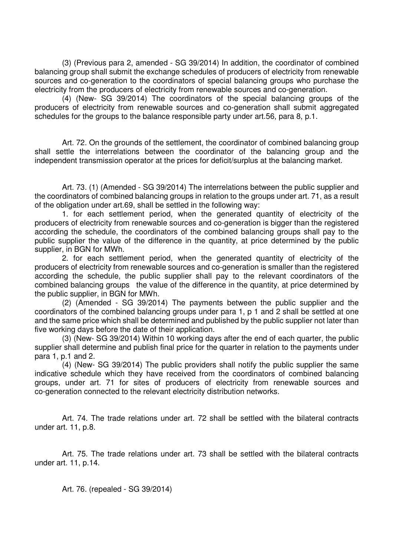(3) (Previous para 2, amended - SG 39/2014) In addition, the coordinator of combined balancing group shall submit the exchange schedules of producers of electricity from renewable sources and co-generation to the coordinators of special balancing groups who purchase the electricity from the producers of electricity from renewable sources and co-generation.

(4) (New- SG 39/2014) The coordinators of the special balancing groups of the producers of electricity from renewable sources and co-generation shall submit aggregated schedules for the groups to the balance responsible party under art.56, para 8, p.1.

Art. 72. On the grounds of the settlement, the coordinator of combined balancing group shall settle the interrelations between the coordinator of the balancing group and the independent transmission operator at the prices for deficit/surplus at the balancing market.

Art. 73. (1) (Amended - SG 39/2014) The interrelations between the public supplier and the coordinators of combined balancing groups in relation to the groups under art. 71, as a result of the obligation under art.69, shall be settled in the following way:

1. for each settlement period, when the generated quantity of electricity of the producers of electricity from renewable sources and co-generation is bigger than the registered according the schedule, the coordinators of the combined balancing groups shall pay to the public supplier the value of the difference in the quantity, at price determined by the public supplier, in BGN for MWh.

2. for each settlement period, when the generated quantity of electricity of the producers of electricity from renewable sources and co-generation is smaller than the registered according the schedule, the public supplier shall pay to the relevant coordinators of the combined balancing groups the value of the difference in the quantity, at price determined by the public supplier, in BGN for MWh.

(2) (Amended - SG 39/2014) The payments between the public supplier and the coordinators of the combined balancing groups under para 1, p 1 and 2 shall be settled at one and the same price which shall be determined and published by the public supplier not later than five working days before the date of their application.

(3) (New- SG 39/2014) Within 10 working days after the end of each quarter, the public supplier shall determine and publish final price for the quarter in relation to the payments under para 1, p.1 and 2.

(4) (New- SG 39/2014) The public providers shall notify the public supplier the same indicative schedule which they have received from the coordinators of combined balancing groups, under art. 71 for sites of producers of electricity from renewable sources and co-generation connected to the relevant electricity distribution networks.

Art. 74. The trade relations under art. 72 shall be settled with the bilateral contracts under art. 11, p.8.

Art. 75. The trade relations under art. 73 shall be settled with the bilateral contracts under art. 11, p.14.

Art. 76. (repealed - SG 39/2014)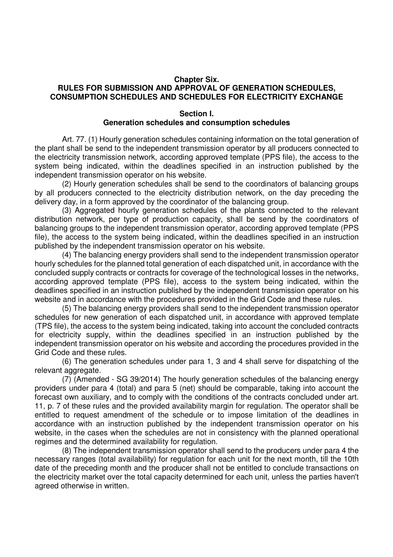### **Chapter Six. RULES FOR SUBMISSION AND APPROVAL OF GENERATION SCHEDULES, CONSUMPTION SCHEDULES AND SCHEDULES FOR ELECTRICITY EXCHANGE**

### **Section I. Generation schedules and consumption schedules**

Art. 77. (1) Hourly generation schedules containing information on the total generation of the plant shall be send to the independent transmission operator by all producers connected to the electricity transmission network, according approved template (PPS file), the access to the system being indicated, within the deadlines specified in an instruction published by the independent transmission operator on his website.

(2) Hourly generation schedules shall be send to the coordinators of balancing groups by all producers connected to the electricity distribution network, on the day preceding the delivery day, in a form approved by the coordinator of the balancing group.

(3) Aggregated hourly generation schedules of the plants connected to the relevant distribution network, per type of production capacity, shall be send by the coordinators of balancing groups to the independent transmission operator, according approved template (PPS file), the access to the system being indicated, within the deadlines specified in an instruction published by the independent transmission operator on his website.

(4) The balancing energy providers shall send to the independent transmission operator hourly schedules for the planned total generation of each dispatched unit, in accordance with the concluded supply contracts or contracts for coverage of the technological losses in the networks, according approved template (PPS file), access to the system being indicated, within the deadlines specified in an instruction published by the independent transmission operator on his website and in accordance with the procedures provided in the Grid Code and these rules.

(5) The balancing energy providers shall send to the independent transmission operator schedules for new generation of each dispatched unit, in accordance with approved template (TPS file), the access to the system being indicated, taking into account the concluded contracts for electricity supply, within the deadlines specified in an instruction published by the independent transmission operator on his website and according the procedures provided in the Grid Code and these rules.

(6) The generation schedules under para 1, 3 and 4 shall serve for dispatching of the relevant aggregate.

(7) (Amended - SG 39/2014) The hourly generation schedules of the balancing energy providers under para 4 (total) and para 5 (net) should be comparable, taking into account the forecast own auxiliary, and to comply with the conditions of the contracts concluded under art. 11, p. 7 of these rules and the provided availability margin for regulation. The operator shall be entitled to request amendment of the schedule or to impose limitation of the deadlines in accordance with an instruction published by the independent transmission operator on his website, in the cases when the schedules are not in consistency with the planned operational regimes and the determined availability for regulation.

(8) The independent transmission operator shall send to the producers under para 4 the necessary ranges (total availability) for regulation for each unit for the next month, till the 10th date of the preceding month and the producer shall not be entitled to conclude transactions on the electricity market over the total capacity determined for each unit, unless the parties haven't agreed otherwise in written.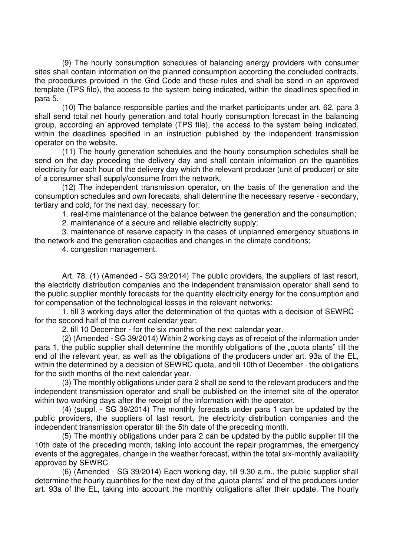(9) The hourly consumption schedules of balancing energy providers with consumer sites shall contain information on the planned consumption according the concluded contracts, the procedures provided in the Grid Code and these rules and shall be send in an approved template (TPS file), the access to the system being indicated, within the deadlines specified in para 5.

(10) The balance responsible parties and the market participants under art. 62, para 3 shall send total net hourly generation and total hourly consumption forecast in the balancing group, according an approved template (TPS file), the access to the system being indicated, within the deadlines specified in an instruction published by the independent transmission operator on the website.

(11) The hourly generation schedules and the hourly consumption schedules shall be send on the day preceding the delivery day and shall contain information on the quantities electricity for each hour of the delivery day which the relevant producer (unit of producer) or site of a consumer shall supply/consume from the network.

(12) The independent transmission operator, on the basis of the generation and the consumption schedules and own forecasts, shall determine the necessary reserve - secondary, tertiary and cold, for the next day, necessary for:

1. real-time maintenance of the balance between the generation and the consumption;

2. maintenance of a secure and reliable electricity supply;

3. maintenance of reserve capacity in the cases of unplanned emergency situations in the network and the generation capacities and changes in the climate conditions;

4. congestion management.

Art. 78. (1) (Amended - SG 39/2014) The public providers, the suppliers of last resort, the electricity distribution companies and the independent transmission operator shall send to the public supplier monthly forecasts for the quantity electricity energy for the consumption and for compensation of the technological losses in the relevant networks:

1. till 3 working days after the determination of the quotas with a decision of SEWRC for the second half of the current calendar year;

2. till 10 December - for the six months of the next calendar year.

(2) (Amended - SG 39/2014) Within 2 working days as of receipt of the information under para 1, the public supplier shall determine the monthly obligations of the "guota plants" till the end of the relevant year, as well as the obligations of the producers under art. 93a of the EL, within the determined by a decision of SEWRC quota, and till 10th of December - the obligations for the sixth months of the next calendar year.

(3) The monthly obligations under para 2 shall be send to the relevant producers and the independent transmission operator and shall be published on the internet site of the operator within two working days after the receipt of the information with the operator.

(4) (suppl. - SG 39/2014) The monthly forecasts under para 1 can be updated by the public providers, the suppliers of last resort, the electricity distribution companies and the independent transmission operator till the 5th date of the preceding month.

(5) The monthly obligations under para 2 can be updated by the public supplier till the 10th date of the preceding month, taking into account the repair programmes, the emergency events of the aggregates, change in the weather forecast, within the total six-monthly availability approved by SEWRC.

(6) (Amended - SG 39/2014) Each working day, till 9.30 a.m., the public supplier shall determine the hourly quantities for the next day of the "quota plants" and of the producers under art. 93a of the EL, taking into account the monthly obligations after their update. The hourly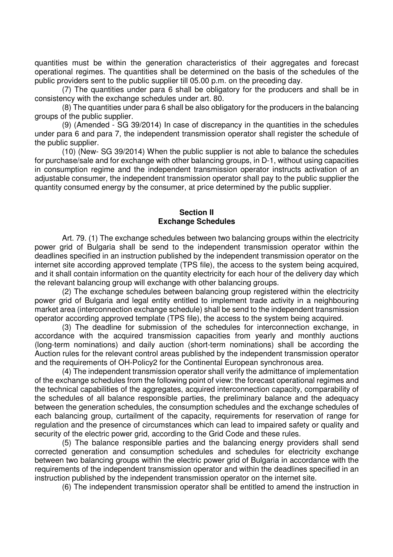quantities must be within the generation characteristics of their aggregates and forecast operational regimes. The quantities shall be determined on the basis of the schedules of the public providers sent to the public supplier till 05.00 p.m. on the preceding day.

(7) The quantities under para 6 shall be obligatory for the producers and shall be in consistency with the exchange schedules under art. 80.

(8) The quantities under para 6 shall be also obligatory for the producers in the balancing groups of the public supplier.

(9) (Amended - SG 39/2014) In case of discrepancy in the quantities in the schedules under para 6 and para 7, the independent transmission operator shall register the schedule of the public supplier.

(10) (New- SG 39/2014) When the public supplier is not able to balance the schedules for purchase/sale and for exchange with other balancing groups, in D-1, without using capacities in consumption regime and the independent transmission operator instructs activation of an adjustable consumer, the independent transmission operator shall pay to the public supplier the quantity consumed energy by the consumer, at price determined by the public supplier.

### **Section II Exchange Schedules**

Art. 79. (1) The exchange schedules between two balancing groups within the electricity power grid of Bulgaria shall be send to the independent transmission operator within the deadlines specified in an instruction published by the independent transmission operator on the internet site according approved template (TPS file), the access to the system being acquired, and it shall contain information on the quantity electricity for each hour of the delivery day which the relevant balancing group will exchange with other balancing groups.

(2) The exchange schedules between balancing group registered within the electricity power grid of Bulgaria and legal entity entitled to implement trade activity in a neighbouring market area (interconnection exchange schedule) shall be send to the independent transmission operator according approved template (TPS file), the access to the system being acquired.

(3) The deadline for submission of the schedules for interconnection exchange, in accordance with the acquired transmission capacities from yearly and monthly auctions (long-term nominations) and daily auction (short-term nominations) shall be according the Auction rules for the relevant control areas published by the independent transmission operator and the requirements of OH-Policy2 for the Continental European synchronous area.

(4) The independent transmission operator shall verify the admittance of implementation of the exchange schedules from the following point of view: the forecast operational regimes and the technical capabilities of the aggregates, acquired interconnection capacity, comparability of the schedules of all balance responsible parties, the preliminary balance and the adequacy between the generation schedules, the consumption schedules and the exchange schedules of each balancing group, curtailment of the capacity, requirements for reservation of range for regulation and the presence of circumstances which can lead to impaired safety or quality and security of the electric power grid, according to the Grid Code and these rules.

(5) The balance responsible parties and the balancing energy providers shall send corrected generation and consumption schedules and schedules for electricity exchange between two balancing groups within the electric power grid of Bulgaria in accordance with the requirements of the independent transmission operator and within the deadlines specified in an instruction published by the independent transmission operator on the internet site.

(6) The independent transmission operator shall be entitled to amend the instruction in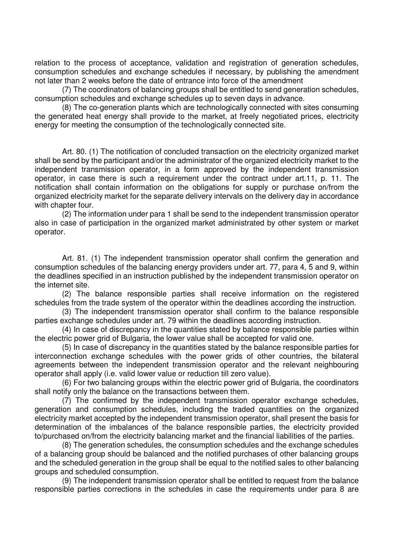relation to the process of acceptance, validation and registration of generation schedules, consumption schedules and exchange schedules if necessary, by publishing the amendment not later than 2 weeks before the date of entrance into force of the amendment

(7) The coordinators of balancing groups shall be entitled to send generation schedules, consumption schedules and exchange schedules up to seven days in advance.

(8) The co-generation plants which are technologically connected with sites consuming the generated heat energy shall provide to the market, at freely negotiated prices, electricity energy for meeting the consumption of the technologically connected site.

Art. 80. (1) The notification of concluded transaction on the electricity organized market shall be send by the participant and/or the administrator of the organized electricity market to the independent transmission operator, in a form approved by the independent transmission operator, in case there is such a requirement under the contract under art.11, p. 11. The notification shall contain information on the obligations for supply or purchase on/from the organized electricity market for the separate delivery intervals on the delivery day in accordance with chapter four.

(2) The information under para 1 shall be send to the independent transmission operator also in case of participation in the organized market administrated by other system or market operator.

Art. 81. (1) The independent transmission operator shall confirm the generation and consumption schedules of the balancing energy providers under art. 77, para 4, 5 and 9, within the deadlines specified in an instruction published by the independent transmission operator on the internet site.

(2) The balance responsible parties shall receive information on the registered schedules from the trade system of the operator within the deadlines according the instruction.

(3) The independent transmission operator shall confirm to the balance responsible parties exchange schedules under art. 79 within the deadlines according instruction.

(4) In case of discrepancy in the quantities stated by balance responsible parties within the electric power grid of Bulgaria, the lower value shall be accepted for valid one.

(5) In case of discrepancy in the quantities stated by the balance responsible parties for interconnection exchange schedules with the power grids of other countries, the bilateral agreements between the independent transmission operator and the relevant neighbouring operator shall apply (i.e. valid lower value or reduction till zero value).

(6) For two balancing groups within the electric power grid of Bulgaria, the coordinators shall notify only the balance on the transactions between them.

(7) The confirmed by the independent transmission operator exchange schedules, generation and consumption schedules, including the traded quantities on the organized electricity market accepted by the independent transmission operator, shall present the basis for determination of the imbalances of the balance responsible parties, the electricity provided to/purchased on/from the electricity balancing market and the financial liabilities of the parties.

(8) The generation schedules, the consumption schedules and the exchange schedules of a balancing group should be balanced and the notified purchases of other balancing groups and the scheduled generation in the group shall be equal to the notified sales to other balancing groups and scheduled consumption.

(9) The independent transmission operator shall be entitled to request from the balance responsible parties corrections in the schedules in case the requirements under para 8 are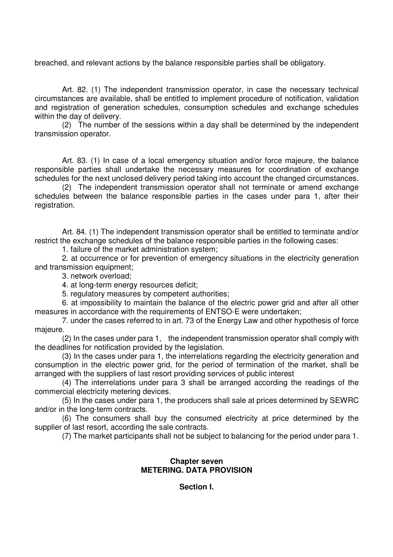breached, and relevant actions by the balance responsible parties shall be obligatory.

Art. 82. (1) The independent transmission operator, in case the necessary technical circumstances are available, shall be entitled to implement procedure of notification, validation and registration of generation schedules, consumption schedules and exchange schedules within the day of delivery.

(2) The number of the sessions within a day shall be determined by the independent transmission operator.

Art. 83. (1) In case of a local emergency situation and/or force majeure, the balance responsible parties shall undertake the necessary measures for coordination of exchange schedules for the next unclosed delivery period taking into account the changed circumstances.

(2) The independent transmission operator shall not terminate or amend exchange schedules between the balance responsible parties in the cases under para 1, after their registration.

Art. 84. (1) The independent transmission operator shall be entitled to terminate and/or restrict the exchange schedules of the balance responsible parties in the following cases:

1. failure of the market administration system;

2. at occurrence or for prevention of emergency situations in the electricity generation and transmission equipment;

3. network overload;

4. at long-term energy resources deficit;

5. regulatory measures by competent authorities;

6. at impossibility to maintain the balance of the electric power grid and after all other measures in accordance with the requirements of ENTSO-E were undertaken;

7. under the cases referred to in art. 73 of the Energy Law and other hypothesis of force majeure.

(2) In the cases under para 1, the independent transmission operator shall comply with the deadlines for notification provided by the legislation.

(3) In the cases under para 1, the interrelations regarding the electricity generation and consumption in the electric power grid, for the period of termination of the market, shall be arranged with the suppliers of last resort providing services of public interest

(4) The interrelations under para 3 shall be arranged according the readings of the commercial electricity metering devices.

(5) In the cases under para 1, the producers shall sale at prices determined by SEWRC and/or in the long-term contracts.

(6) The consumers shall buy the consumed electricity at price determined by the supplier of last resort, according the sale contracts.

(7) The market participants shall not be subject to balancing for the period under para 1.

## **Chapter seven METERING. DATA PROVISION**

**Section I.**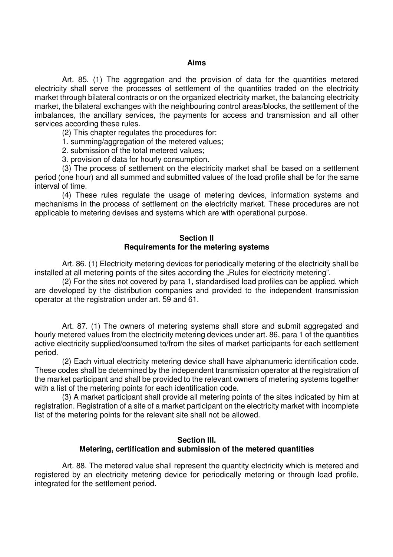#### **Aims**

Art. 85. (1) The aggregation and the provision of data for the quantities metered electricity shall serve the processes of settlement of the quantities traded on the electricity market through bilateral contracts or on the organized electricity market, the balancing electricity market, the bilateral exchanges with the neighbouring control areas/blocks, the settlement of the imbalances, the ancillary services, the payments for access and transmission and all other services according these rules.

(2) This chapter regulates the procedures for:

1. summing/aggregation of the metered values;

2. submission of the total metered values;

3. provision of data for hourly consumption.

(3) The process of settlement on the electricity market shall be based on a settlement period (one hour) and all summed and submitted values of the load profile shall be for the same interval of time.

(4) These rules regulate the usage of metering devices, information systems and mechanisms in the process of settlement on the electricity market. These procedures are not applicable to metering devises and systems which are with operational purpose.

### **Section II Requirements for the metering systems**

Art. 86. (1) Electricity metering devices for periodically metering of the electricity shall be installed at all metering points of the sites according the "Rules for electricity metering".

(2) For the sites not covered by para 1, standardised load profiles can be applied, which are developed by the distribution companies and provided to the independent transmission operator at the registration under art. 59 and 61.

Art. 87. (1) The owners of metering systems shall store and submit aggregated and hourly metered values from the electricity metering devices under art. 86, para 1 of the quantities active electricity supplied/consumed to/from the sites of market participants for each settlement period.

(2) Each virtual electricity metering device shall have alphanumeric identification code. These codes shall be determined by the independent transmission operator at the registration of the market participant and shall be provided to the relevant owners of metering systems together with a list of the metering points for each identification code.

(3) A market participant shall provide all metering points of the sites indicated by him at registration. Registration of a site of a market participant on the electricity market with incomplete list of the metering points for the relevant site shall not be allowed.

### **Section III. Metering, certification and submission of the metered quantities**

Art. 88. The metered value shall represent the quantity electricity which is metered and registered by an electricity metering device for periodically metering or through load profile, integrated for the settlement period.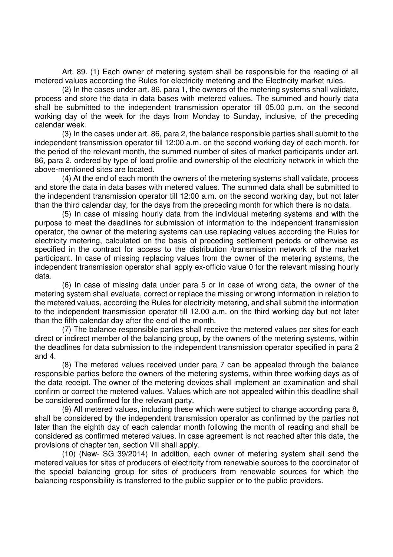Art. 89. (1) Each owner of metering system shall be responsible for the reading of all metered values according the Rules for electricity metering and the Electricity market rules.

(2) In the cases under art. 86, para 1, the owners of the metering systems shall validate, process and store the data in data bases with metered values. The summed and hourly data shall be submitted to the independent transmission operator till 05.00 p.m. on the second working day of the week for the days from Monday to Sunday, inclusive, of the preceding calendar week.

(3) In the cases under art. 86, para 2, the balance responsible parties shall submit to the independent transmission operator till 12:00 a.m. on the second working day of each month, for the period of the relevant month, the summed number of sites of market participants under art. 86, para 2, ordered by type of load profile and ownership of the electricity network in which the above-mentioned sites are located.

(4) At the end of each month the owners of the metering systems shall validate, process and store the data in data bases with metered values. The summed data shall be submitted to the independent transmission operator till 12:00 a.m. on the second working day, but not later than the third calendar day, for the days from the preceding month for which there is no data.

(5) In case of missing hourly data from the individual metering systems and with the purpose to meet the deadlines for submission of information to the independent transmission operator, the owner of the metering systems can use replacing values according the Rules for electricity metering, calculated on the basis of preceding settlement periods or otherwise as specified in the contract for access to the distribution /transmission network of the market participant. In case of missing replacing values from the owner of the metering systems, the independent transmission operator shall apply ex-officio value 0 for the relevant missing hourly data.

(6) In case of missing data under para 5 or in case of wrong data, the owner of the metering system shall evaluate, correct or replace the missing or wrong information in relation to the metered values, according the Rules for electricity metering, and shall submit the information to the independent transmission operator till 12.00 a.m. on the third working day but not later than the fifth calendar day after the end of the month.

(7) The balance responsible parties shall receive the metered values per sites for each direct or indirect member of the balancing group, by the owners of the metering systems, within the deadlines for data submission to the independent transmission operator specified in para 2 and 4.

(8) The metered values received under para 7 can be appealed through the balance responsible parties before the owners of the metering systems, within three working days as of the data receipt. The owner of the metering devices shall implement an examination and shall confirm or correct the metered values. Values which are not appealed within this deadline shall be considered confirmed for the relevant party.

(9) All metered values, including these which were subject to change according para 8, shall be considered by the independent transmission operator as confirmed by the parties not later than the eighth day of each calendar month following the month of reading and shall be considered as confirmed metered values. In case agreement is not reached after this date, the provisions of chapter ten, section VII shall apply.

(10) (New- SG 39/2014) In addition, each owner of metering system shall send the metered values for sites of producers of electricity from renewable sources to the coordinator of the special balancing group for sites of producers from renewable sources for which the balancing responsibility is transferred to the public supplier or to the public providers.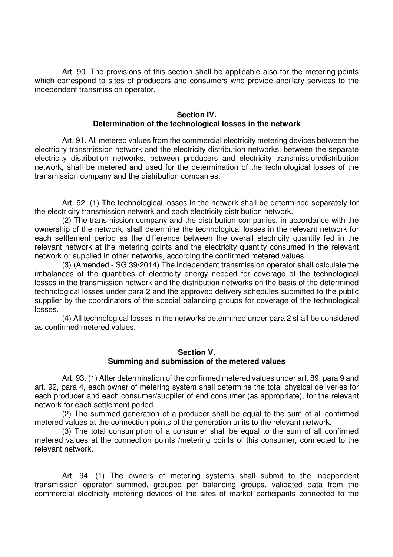Art. 90. The provisions of this section shall be applicable also for the metering points which correspond to sites of producers and consumers who provide ancillary services to the independent transmission operator.

#### **Section IV. Determination of the technological losses in the network**

Art. 91. All metered values from the commercial electricity metering devices between the electricity transmission network and the electricity distribution networks, between the separate electricity distribution networks, between producers and electricity transmission/distribution network, shall be metered and used for the determination of the technological losses of the transmission company and the distribution companies.

Art. 92. (1) The technological losses in the network shall be determined separately for the electricity transmission network and each electricity distribution network.

(2) The transmission company and the distribution companies, in accordance with the ownership of the network, shall determine the technological losses in the relevant network for each settlement period as the difference between the overall electricity quantity fed in the relevant network at the metering points and the electricity quantity consumed in the relevant network or supplied in other networks, according the confirmed metered values.

(3) (Amended - SG 39/2014) The independent transmission operator shall calculate the imbalances of the quantities of electricity energy needed for coverage of the technological losses in the transmission network and the distribution networks on the basis of the determined technological losses under para 2 and the approved delivery schedules submitted to the public supplier by the coordinators of the special balancing groups for coverage of the technological losses.

(4) All technological losses in the networks determined under para 2 shall be considered as confirmed metered values.

#### **Section V. Summing and submission of the metered values**

Art. 93. (1) After determination of the confirmed metered values under art. 89, para 9 and art. 92, para 4, each owner of metering system shall determine the total physical deliveries for each producer and each consumer/supplier of end consumer (as appropriate), for the relevant network for each settlement period.

(2) The summed generation of a producer shall be equal to the sum of all confirmed metered values at the connection points of the generation units to the relevant network.

(3) The total consumption of a consumer shall be equal to the sum of all confirmed metered values at the connection points /metering points of this consumer, connected to the relevant network.

Art. 94. (1) The owners of metering systems shall submit to the independent transmission operator summed, grouped per balancing groups, validated data from the commercial electricity metering devices of the sites of market participants connected to the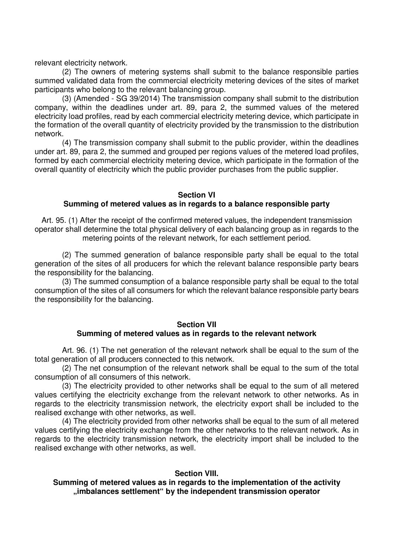relevant electricity network.

(2) The owners of metering systems shall submit to the balance responsible parties summed validated data from the commercial electricity metering devices of the sites of market participants who belong to the relevant balancing group.

(3) (Amended - SG 39/2014) The transmission company shall submit to the distribution company, within the deadlines under art. 89, para 2, the summed values of the metered electricity load profiles, read by each commercial electricity metering device, which participate in the formation of the overall quantity of electricity provided by the transmission to the distribution network.

(4) The transmission company shall submit to the public provider, within the deadlines under art. 89, para 2, the summed and grouped per regions values of the metered load profiles, formed by each commercial electricity metering device, which participate in the formation of the overall quantity of electricity which the public provider purchases from the public supplier.

## **Section VI**

# **Summing of metered values as in regards to a balance responsible party**

Art. 95. (1) After the receipt of the confirmed metered values, the independent transmission operator shall determine the total physical delivery of each balancing group as in regards to the metering points of the relevant network, for each settlement period.

(2) The summed generation of balance responsible party shall be equal to the total generation of the sites of all producers for which the relevant balance responsible party bears the responsibility for the balancing.

(3) The summed consumption of a balance responsible party shall be equal to the total consumption of the sites of all consumers for which the relevant balance responsible party bears the responsibility for the balancing.

## **Section VII Summing of metered values as in regards to the relevant network**

Art. 96. (1) The net generation of the relevant network shall be equal to the sum of the total generation of all producers connected to this network.

(2) The net consumption of the relevant network shall be equal to the sum of the total consumption of all consumers of this network.

(3) The electricity provided to other networks shall be equal to the sum of all metered values certifying the electricity exchange from the relevant network to other networks. As in regards to the electricity transmission network, the electricity export shall be included to the realised exchange with other networks, as well.

(4) The electricity provided from other networks shall be equal to the sum of all metered values certifying the electricity exchange from the other networks to the relevant network. As in regards to the electricity transmission network, the electricity import shall be included to the realised exchange with other networks, as well.

### **Section VIII.**

**Summing of metered values as in regards to the implementation of the activity "imbalances settlement" by the independent transmission operator**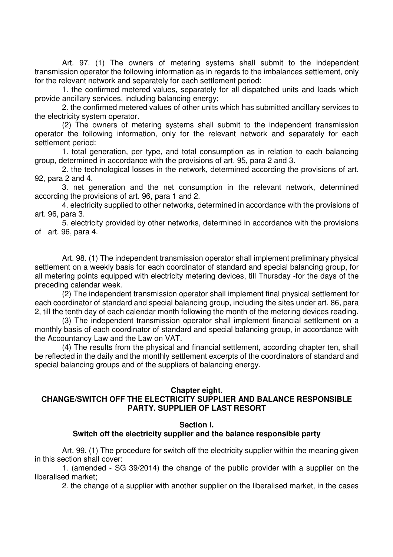Art. 97. (1) The owners of metering systems shall submit to the independent transmission operator the following information as in regards to the imbalances settlement, only for the relevant network and separately for each settlement period:

1. the confirmed metered values, separately for all dispatched units and loads which provide ancillary services, including balancing energy;

2. the confirmed metered values of other units which has submitted ancillary services to the electricity system operator.

(2) The owners of metering systems shall submit to the independent transmission operator the following information, only for the relevant network and separately for each settlement period:

1. total generation, per type, and total consumption as in relation to each balancing group, determined in accordance with the provisions of art. 95, para 2 and 3.

2. the technological losses in the network, determined according the provisions of art. 92, para 2 and 4.

3. net generation and the net consumption in the relevant network, determined according the provisions of art. 96, para 1 and 2.

4. electricity supplied to other networks, determined in accordance with the provisions of art. 96, para 3.

5. electricity provided by other networks, determined in accordance with the provisions of art. 96, para 4.

Art. 98. (1) The independent transmission operator shall implement preliminary physical settlement on a weekly basis for each coordinator of standard and special balancing group, for all metering points equipped with electricity metering devices, till Thursday -for the days of the preceding calendar week.

(2) The independent transmission operator shall implement final physical settlement for each coordinator of standard and special balancing group, including the sites under art. 86, para 2, till the tenth day of each calendar month following the month of the metering devices reading.

(3) The independent transmission operator shall implement financial settlement on a monthly basis of each coordinator of standard and special balancing group, in accordance with the Accountancy Law and the Law on VAT.

(4) The results from the physical and financial settlement, according chapter ten, shall be reflected in the daily and the monthly settlement excerpts of the coordinators of standard and special balancing groups and of the suppliers of balancing energy.

#### **Chapter eight.**

# **CHANGE/SWITCH OFF THE ELECTRICITY SUPPLIER AND BALANCE RESPONSIBLE PARTY. SUPPLIER OF LAST RESORT**

### **Section I.**

### **Switch off the electricity supplier and the balance responsible party**

Art. 99. (1) The procedure for switch off the electricity supplier within the meaning given in this section shall cover:

1. (amended - SG 39/2014) the change of the public provider with a supplier on the liberalised market;

2. the change of a supplier with another supplier on the liberalised market, in the cases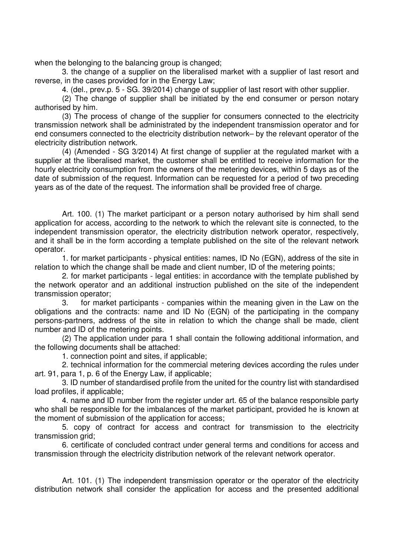when the belonging to the balancing group is changed;

3. the change of a supplier on the liberalised market with a supplier of last resort and reverse, in the cases provided for in the Energy Law;

4. (del., prev.p. 5 - SG. 39/2014) change of supplier of last resort with other supplier.

(2) The change of supplier shall be initiated by the end consumer or person notary authorised by him.

(3) The process of change of the supplier for consumers connected to the electricity transmission network shall be administrated by the independent transmission operator and for end consumers connected to the electricity distribution network– by the relevant operator of the electricity distribution network.

(4) (Amended - SG 3/2014) At first change of supplier at the regulated market with a supplier at the liberalised market, the customer shall be entitled to receive information for the hourly electricity consumption from the owners of the metering devices, within 5 days as of the date of submission of the request. Information can be requested for a period of two preceding years as of the date of the request. The information shall be provided free of charge.

Art. 100. (1) The market participant or a person notary authorised by him shall send application for access, according to the network to which the relevant site is connected, to the independent transmission operator, the electricity distribution network operator, respectively, and it shall be in the form according a template published on the site of the relevant network operator.

1. for market participants - physical entities: names, ID No (EGN), address of the site in relation to which the change shall be made and client number, ID of the metering points;

2. for market participants - legal entities: in accordance with the template published by the network operator and an additional instruction published on the site of the independent transmission operator;

3. for market participants - companies within the meaning given in the Law on the obligations and the contracts: name and ID No (EGN) of the participating in the company persons-partners, address of the site in relation to which the change shall be made, client number and ID of the metering points.

(2) The application under para 1 shall contain the following additional information, and the following documents shall be attached:

1. connection point and sites, if applicable;

2. technical information for the commercial metering devices according the rules under art. 91, para 1, p. 6 of the Energy Law, if applicable;

3. ID number of standardised profile from the united for the country list with standardised load profiles, if applicable;

4. name and ID number from the register under art. 65 of the balance responsible party who shall be responsible for the imbalances of the market participant, provided he is known at the moment of submission of the application for access;

5. copy of contract for access and contract for transmission to the electricity transmission grid;

6. certificate of concluded contract under general terms and conditions for access and transmission through the electricity distribution network of the relevant network operator.

Art. 101. (1) The independent transmission operator or the operator of the electricity distribution network shall consider the application for access and the presented additional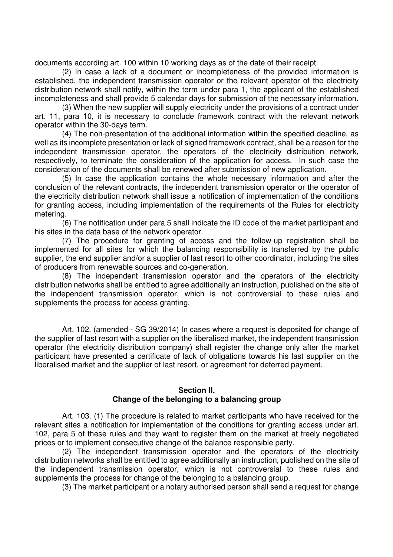documents according art. 100 within 10 working days as of the date of their receipt.

(2) In case a lack of a document or incompleteness of the provided information is established, the independent transmission operator or the relevant operator of the electricity distribution network shall notify, within the term under para 1, the applicant of the established incompleteness and shall provide 5 calendar days for submission of the necessary information.

(3) When the new supplier will supply electricity under the provisions of a contract under art. 11, para 10, it is necessary to conclude framework contract with the relevant network operator within the 30-days term.

(4) The non-presentation of the additional information within the specified deadline, as well as its incomplete presentation or lack of signed framework contract, shall be a reason for the independent transmission operator, the operators of the electricity distribution network, respectively, to terminate the consideration of the application for access. In such case the consideration of the documents shall be renewed after submission of new application.

(5) In case the application contains the whole necessary information and after the conclusion of the relevant contracts, the independent transmission operator or the operator of the electricity distribution network shall issue a notification of implementation of the conditions for granting access, including implementation of the requirements of the Rules for electricity metering.

(6) The notification under para 5 shall indicate the ID code of the market participant and his sites in the data base of the network operator.

(7) The procedure for granting of access and the follow-up registration shall be implemented for all sites for which the balancing responsibility is transferred by the public supplier, the end supplier and/or a supplier of last resort to other coordinator, including the sites of producers from renewable sources and co-generation.

(8) The independent transmission operator and the operators of the electricity distribution networks shall be entitled to agree additionally an instruction, published on the site of the independent transmission operator, which is not controversial to these rules and supplements the process for access granting.

Art. 102. (amended - SG 39/2014) In cases where a request is deposited for change of the supplier of last resort with a supplier on the liberalised market, the independent transmission operator (the electricity distribution company) shall register the change only after the market participant have presented a certificate of lack of obligations towards his last supplier on the liberalised market and the supplier of last resort, or agreement for deferred payment.

#### **Section II. Change of the belonging to a balancing group**

Art. 103. (1) The procedure is related to market participants who have received for the relevant sites a notification for implementation of the conditions for granting access under art. 102, para 5 of these rules and they want to register them on the market at freely negotiated prices or to implement consecutive change of the balance responsible party.

(2) The independent transmission operator and the operators of the electricity distribution networks shall be entitled to agree additionally an instruction, published on the site of the independent transmission operator, which is not controversial to these rules and supplements the process for change of the belonging to a balancing group.

(3) The market participant or a notary authorised person shall send a request for change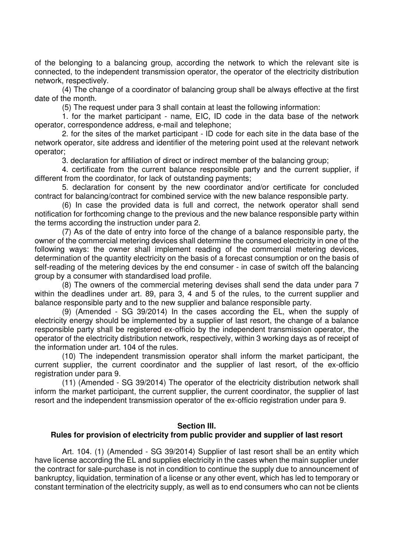of the belonging to a balancing group, according the network to which the relevant site is connected, to the independent transmission operator, the operator of the electricity distribution network, respectively.

(4) The change of a coordinator of balancing group shall be always effective at the first date of the month.

(5) The request under para 3 shall contain at least the following information:

1. for the market participant - name, EIC, ID code in the data base of the network operator, correspondence address, e-mail and telephone;

2. for the sites of the market participant - ID code for each site in the data base of the network operator, site address and identifier of the metering point used at the relevant network operator;

3. declaration for affiliation of direct or indirect member of the balancing group;

4. certificate from the current balance responsible party and the current supplier, if different from the coordinator, for lack of outstanding payments;

5. declaration for consent by the new coordinator and/or certificate for concluded contract for balancing/contract for combined service with the new balance responsible party.

(6) In case the provided data is full and correct, the network operator shall send notification for forthcoming change to the previous and the new balance responsible party within the terms according the instruction under para 2.

(7) As of the date of entry into force of the change of a balance responsible party, the owner of the commercial metering devices shall determine the consumed electricity in one of the following ways: the owner shall implement reading of the commercial metering devices, determination of the quantity electricity on the basis of a forecast consumption or on the basis of self-reading of the metering devices by the end consumer - in case of switch off the balancing group by a consumer with standardised load profile.

(8) The owners of the commercial metering devises shall send the data under para 7 within the deadlines under art. 89, para 3, 4 and 5 of the rules, to the current supplier and balance responsible party and to the new supplier and balance responsible party.

(9) (Amended - SG 39/2014) In the cases according the EL, when the supply of electricity energy should be implemented by a supplier of last resort, the change of a balance responsible party shall be registered ex-officio by the independent transmission operator, the operator of the electricity distribution network, respectively, within 3 working days as of receipt of the information under art. 104 of the rules.

(10) The independent transmission operator shall inform the market participant, the current supplier, the current coordinator and the supplier of last resort, of the ex-officio registration under para 9.

(11) (Amended - SG 39/2014) The operator of the electricity distribution network shall inform the market participant, the current supplier, the current coordinator, the supplier of last resort and the independent transmission operator of the ex-officio registration under para 9.

### **Section III.**

### **Rules for provision of electricity from public provider and supplier of last resort**

Art. 104. (1) (Amended - SG 39/2014) Supplier of last resort shall be an entity which have license according the EL and supplies electricity in the cases when the main supplier under the contract for sale-purchase is not in condition to continue the supply due to announcement of bankruptcy, liquidation, termination of a license or any other event, which has led to temporary or constant termination of the electricity supply, as well as to end consumers who can not be clients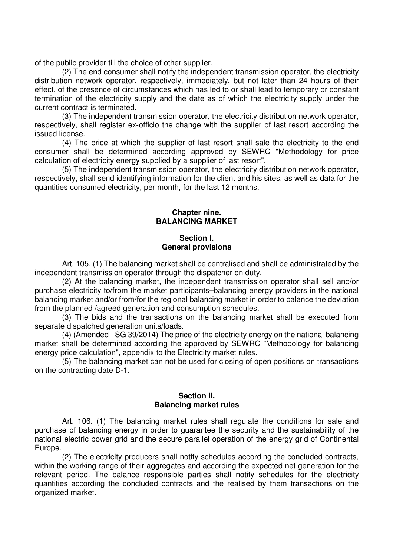of the public provider till the choice of other supplier.

(2) The end consumer shall notify the independent transmission operator, the electricity distribution network operator, respectively, immediately, but not later than 24 hours of their effect, of the presence of circumstances which has led to or shall lead to temporary or constant termination of the electricity supply and the date as of which the electricity supply under the current contract is terminated.

(3) The independent transmission operator, the electricity distribution network operator, respectively, shall register ex-officio the change with the supplier of last resort according the issued license.

(4) The price at which the supplier of last resort shall sale the electricity to the end consumer shall be determined according approved by SEWRC "Methodology for price calculation of electricity energy supplied by a supplier of last resort".

(5) The independent transmission operator, the electricity distribution network operator, respectively, shall send identifying information for the client and his sites, as well as data for the quantities consumed electricity, per month, for the last 12 months.

## **Chapter nine. BALANCING MARKET**

## **Section I. General provisions**

Art. 105. (1) The balancing market shall be centralised and shall be administrated by the independent transmission operator through the dispatcher on duty.

(2) At the balancing market, the independent transmission operator shall sell and/or purchase electricity to/from the market participants–balancing energy providers in the national balancing market and/or from/for the regional balancing market in order to balance the deviation from the planned /agreed generation and consumption schedules.

(3) The bids and the transactions on the balancing market shall be executed from separate dispatched generation units/loads.

(4) (Amended - SG 39/2014) The price of the electricity energy on the national balancing market shall be determined according the approved by SEWRC "Methodology for balancing energy price calculation", appendix to the Electricity market rules.

(5) The balancing market can not be used for closing of open positions on transactions on the contracting date D-1.

## **Section II. Balancing market rules**

Art. 106. (1) The balancing market rules shall regulate the conditions for sale and purchase of balancing energy in order to guarantee the security and the sustainability of the national electric power grid and the secure parallel operation of the energy grid of Continental Europe.

(2) The electricity producers shall notify schedules according the concluded contracts, within the working range of their aggregates and according the expected net generation for the relevant period. The balance responsible parties shall notify schedules for the electricity quantities according the concluded contracts and the realised by them transactions on the organized market.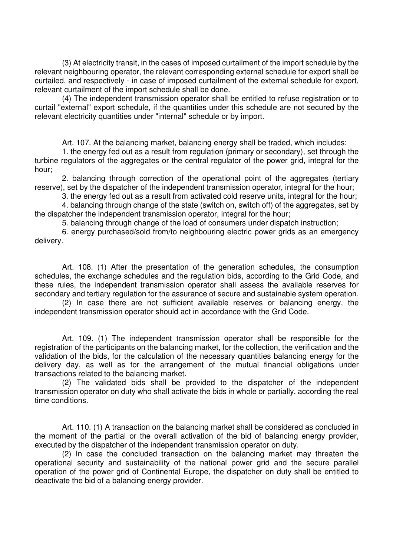(3) At electricity transit, in the cases of imposed curtailment of the import schedule by the relevant neighbouring operator, the relevant corresponding external schedule for export shall be curtailed, and respectively - in case of imposed curtailment of the external schedule for export, relevant curtailment of the import schedule shall be done.

(4) The independent transmission operator shall be entitled to refuse registration or to curtail "external" export schedule, if the quantities under this schedule are not secured by the relevant electricity quantities under "internal" schedule or by import.

Art. 107. At the balancing market, balancing energy shall be traded, which includes:

1. the energy fed out as a result from regulation (primary or secondary), set through the turbine regulators of the aggregates or the central regulator of the power grid, integral for the hour;

2. balancing through correction of the operational point of the aggregates (tertiary reserve), set by the dispatcher of the independent transmission operator, integral for the hour;

3. the energy fed out as a result from activated cold reserve units, integral for the hour;

4. balancing through change of the state (switch on, switch off) of the aggregates, set by the dispatcher the independent transmission operator, integral for the hour;

5. balancing through change of the load of consumers under dispatch instruction;

6. energy purchased/sold from/to neighbouring electric power grids as an emergency delivery.

Art. 108. (1) After the presentation of the generation schedules, the consumption schedules, the exchange schedules and the regulation bids, according to the Grid Code, and these rules, the independent transmission operator shall assess the available reserves for secondary and tertiary regulation for the assurance of secure and sustainable system operation.

(2) In case there are not sufficient available reserves or balancing energy, the independent transmission operator should act in accordance with the Grid Code.

Art. 109. (1) The independent transmission operator shall be responsible for the registration of the participants on the balancing market, for the collection, the verification and the validation of the bids, for the calculation of the necessary quantities balancing energy for the delivery day, as well as for the arrangement of the mutual financial obligations under transactions related to the balancing market.

(2) The validated bids shall be provided to the dispatcher of the independent transmission operator on duty who shall activate the bids in whole or partially, according the real time conditions.

Art. 110. (1) A transaction on the balancing market shall be considered as concluded in the moment of the partial or the overall activation of the bid of balancing energy provider, executed by the dispatcher of the independent transmission operator on duty.

(2) In case the concluded transaction on the balancing market may threaten the operational security and sustainability of the national power grid and the secure parallel operation of the power grid of Continental Europe, the dispatcher on duty shall be entitled to deactivate the bid of a balancing energy provider.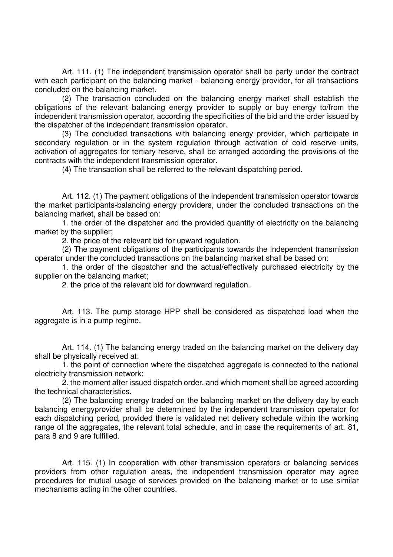Art. 111. (1) The independent transmission operator shall be party under the contract with each participant on the balancing market - balancing energy provider, for all transactions concluded on the balancing market.

(2) The transaction concluded on the balancing energy market shall establish the obligations of the relevant balancing energy provider to supply or buy energy to/from the independent transmission operator, according the specificities of the bid and the order issued by the dispatcher of the independent transmission operator.

(3) The concluded transactions with balancing energy provider, which participate in secondary regulation or in the system regulation through activation of cold reserve units, activation of aggregates for tertiary reserve, shall be arranged according the provisions of the contracts with the independent transmission operator.

(4) The transaction shall be referred to the relevant dispatching period.

Art. 112. (1) The payment obligations of the independent transmission operator towards the market participants-balancing energy providers, under the concluded transactions on the balancing market, shall be based on:

1. the order of the dispatcher and the provided quantity of electricity on the balancing market by the supplier;

2. the price of the relevant bid for upward regulation.

(2) The payment obligations of the participants towards the independent transmission operator under the concluded transactions on the balancing market shall be based on:

1. the order of the dispatcher and the actual/effectively purchased electricity by the supplier on the balancing market;

2. the price of the relevant bid for downward regulation.

Art. 113. The pump storage HPP shall be considered as dispatched load when the aggregate is in a pump regime.

Art. 114. (1) The balancing energy traded on the balancing market on the delivery day shall be physically received at:

1. the point of connection where the dispatched aggregate is connected to the national electricity transmission network;

2. the moment after issued dispatch order, and which moment shall be agreed according the technical characteristics.

(2) The balancing energy traded on the balancing market on the delivery day by each balancing energyprovider shall be determined by the independent transmission operator for each dispatching period, provided there is validated net delivery schedule within the working range of the aggregates, the relevant total schedule, and in case the requirements of art. 81, para 8 and 9 are fulfilled.

Art. 115. (1) In cooperation with other transmission operators or balancing services providers from other regulation areas, the independent transmission operator may agree procedures for mutual usage of services provided on the balancing market or to use similar mechanisms acting in the other countries.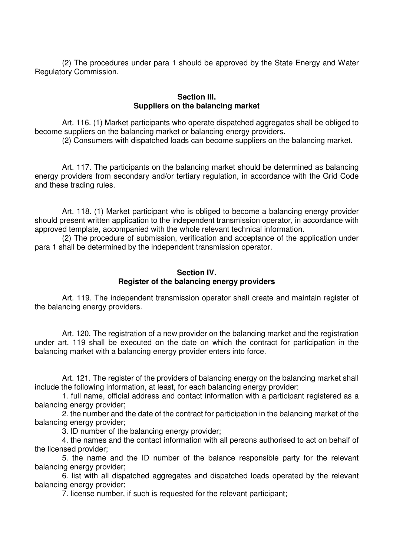(2) The procedures under para 1 should be approved by the State Energy and Water Regulatory Commission.

### **Section III. Suppliers on the balancing market**

Art. 116. (1) Market participants who operate dispatched aggregates shall be obliged to become suppliers on the balancing market or balancing energy providers.

(2) Consumers with dispatched loads can become suppliers on the balancing market.

Art. 117. The participants on the balancing market should be determined as balancing energy providers from secondary and/or tertiary regulation, in accordance with the Grid Code and these trading rules.

Art. 118. (1) Market participant who is obliged to become a balancing energy provider should present written application to the independent transmission operator, in accordance with approved template, accompanied with the whole relevant technical information.

(2) The procedure of submission, verification and acceptance of the application under para 1 shall be determined by the independent transmission operator.

## **Section IV. Register of the balancing energy providers**

Art. 119. The independent transmission operator shall create and maintain register of the balancing energy providers.

Art. 120. The registration of a new provider on the balancing market and the registration under art. 119 shall be executed on the date on which the contract for participation in the balancing market with a balancing energy provider enters into force.

Art. 121. The register of the providers of balancing energy on the balancing market shall include the following information, at least, for each balancing energy provider:

1. full name, official address and contact information with a participant registered as a balancing energy provider;

2. the number and the date of the contract for participation in the balancing market of the balancing energy provider;

3. ID number of the balancing energy provider;

4. the names and the contact information with all persons authorised to act on behalf of the licensed provider;

5. the name and the ID number of the balance responsible party for the relevant balancing energy provider;

6. list with all dispatched aggregates and dispatched loads operated by the relevant balancing energy provider;

7. license number, if such is requested for the relevant participant;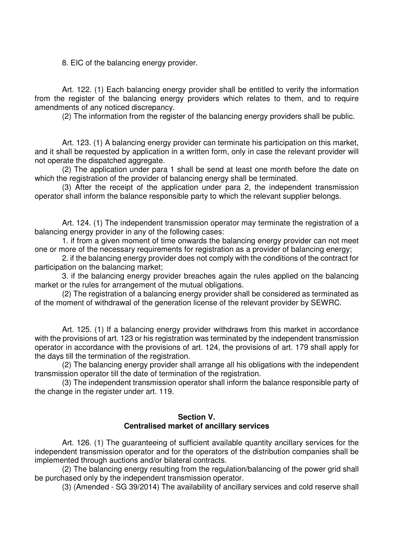8. EIC of the balancing energy provider.

Art. 122. (1) Each balancing energy provider shall be entitled to verify the information from the register of the balancing energy providers which relates to them, and to require amendments of any noticed discrepancy.

(2) The information from the register of the balancing energy providers shall be public.

Art. 123. (1) A balancing energy provider can terminate his participation on this market, and it shall be requested by application in a written form, only in case the relevant provider will not operate the dispatched aggregate.

(2) The application under para 1 shall be send at least one month before the date on which the registration of the provider of balancing energy shall be terminated.

(3) After the receipt of the application under para 2, the independent transmission operator shall inform the balance responsible party to which the relevant supplier belongs.

Art. 124. (1) The independent transmission operator may terminate the registration of a balancing energy provider in any of the following cases:

1. if from a given moment of time onwards the balancing energy provider can not meet one or more of the necessary requirements for registration as a provider of balancing energy;

2. if the balancing energy provider does not comply with the conditions of the contract for participation on the balancing market;

3. if the balancing energy provider breaches again the rules applied on the balancing market or the rules for arrangement of the mutual obligations.

(2) The registration of a balancing energy provider shall be considered as terminated as of the moment of withdrawal of the generation license of the relevant provider by SEWRC.

Art. 125. (1) If a balancing energy provider withdraws from this market in accordance with the provisions of art. 123 or his registration was terminated by the independent transmission operator in accordance with the provisions of art. 124, the provisions of art. 179 shall apply for the days till the termination of the registration.

(2) The balancing energy provider shall arrange all his obligations with the independent transmission operator till the date of termination of the registration.

(3) The independent transmission operator shall inform the balance responsible party of the change in the register under art. 119.

## **Section V. Centralised market of ancillary services**

Art. 126. (1) The guaranteeing of sufficient available quantity ancillary services for the independent transmission operator and for the operators of the distribution companies shall be implemented through auctions and/or bilateral contracts.

(2) The balancing energy resulting from the regulation/balancing of the power grid shall be purchased only by the independent transmission operator.

(3) (Amended - SG 39/2014) The availability of ancillary services and cold reserve shall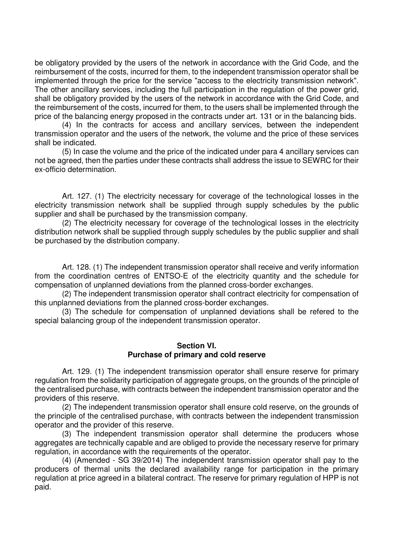be obligatory provided by the users of the network in accordance with the Grid Code, and the reimbursement of the costs, incurred for them, to the independent transmission operator shall be implemented through the price for the service "access to the electricity transmission network". The other ancillary services, including the full participation in the regulation of the power grid, shall be obligatory provided by the users of the network in accordance with the Grid Code, and the reimbursement of the costs, incurred for them, to the users shall be implemented through the price of the balancing energy proposed in the contracts under art. 131 or in the balancing bids.

(4) In the contracts for access and ancillary services, between the independent transmission operator and the users of the network, the volume and the price of these services shall be indicated.

(5) In case the volume and the price of the indicated under para 4 ancillary services can not be agreed, then the parties under these contracts shall address the issue to SEWRC for their ex-officio determination.

Art. 127. (1) The electricity necessary for coverage of the technological losses in the electricity transmission network shall be supplied through supply schedules by the public supplier and shall be purchased by the transmission company.

(2) The electricity necessary for coverage of the technological losses in the electricity distribution network shall be supplied through supply schedules by the public supplier and shall be purchased by the distribution company.

Art. 128. (1) The independent transmission operator shall receive and verify information from the coordination centres of ENTSO-E of the electricity quantity and the schedule for compensation of unplanned deviations from the planned cross-border exchanges.

(2) The independent transmission operator shall contract electricity for compensation of this unplanned deviations from the planned cross-border exchanges.

(3) The schedule for compensation of unplanned deviations shall be refered to the special balancing group of the independent transmission operator.

#### **Section VI. Purchase of primary and cold reserve**

Art. 129. (1) The independent transmission operator shall ensure reserve for primary regulation from the solidarity participation of aggregate groups, on the grounds of the principle of the centralised purchase, with contracts between the independent transmission operator and the providers of this reserve.

(2) The independent transmission operator shall ensure cold reserve, on the grounds of the principle of the centralised purchase, with contracts between the independent transmission operator and the provider of this reserve.

(3) The independent transmission operator shall determine the producers whose aggregates are technically capable and are obliged to provide the necessary reserve for primary regulation, in accordance with the requirements of the operator.

(4) (Amended - SG 39/2014) The independent transmission operator shall pay to the producers of thermal units the declared availability range for participation in the primary regulation at price agreed in a bilateral contract. The reserve for primary regulation of HPP is not paid.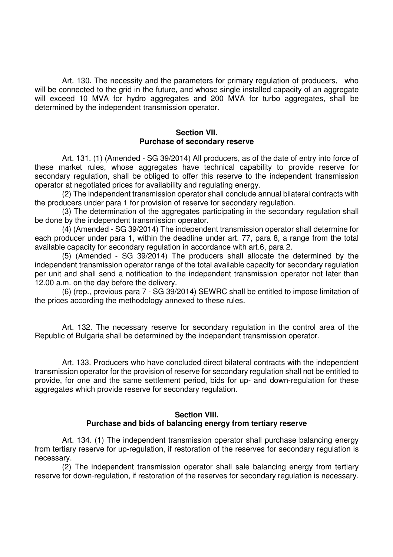Art. 130. The necessity and the parameters for primary regulation of producers, who will be connected to the grid in the future, and whose single installed capacity of an aggregate will exceed 10 MVA for hydro aggregates and 200 MVA for turbo aggregates, shall be determined by the independent transmission operator.

### **Section VII. Purchase of secondary reserve**

Art. 131. (1) (Amended - SG 39/2014) All producers, as of the date of entry into force of these market rules, whose aggregates have technical capability to provide reserve for secondary regulation, shall be obliged to offer this reserve to the independent transmission operator at negotiated prices for availability and regulating energy.

(2) The independent transmission operator shall conclude annual bilateral contracts with the producers under para 1 for provision of reserve for secondary regulation.

(3) The determination of the aggregates participating in the secondary regulation shall be done by the independent transmission operator.

(4) (Amended - SG 39/2014) The independent transmission operator shall determine for each producer under para 1, within the deadline under art. 77, para 8, a range from the total available capacity for secondary regulation in accordance with art.6, para 2.

(5) (Amended - SG 39/2014) The producers shall allocate the determined by the independent transmission operator range of the total available capacity for secondary regulation per unit and shall send a notification to the independent transmission operator not later than 12.00 a.m. on the day before the delivery.

(6) (rep., previous para 7 - SG 39/2014) SEWRC shall be entitled to impose limitation of the prices according the methodology annexed to these rules.

Art. 132. The necessary reserve for secondary regulation in the control area of the Republic of Bulgaria shall be determined by the independent transmission operator.

Art. 133. Producers who have concluded direct bilateral contracts with the independent transmission operator for the provision of reserve for secondary regulation shall not be entitled to provide, for one and the same settlement period, bids for up- and down-regulation for these aggregates which provide reserve for secondary regulation.

#### **Section VIII. Purchase and bids of balancing energy from tertiary reserve**

Art. 134. (1) The independent transmission operator shall purchase balancing energy from tertiary reserve for up-regulation, if restoration of the reserves for secondary regulation is necessary.

(2) The independent transmission operator shall sale balancing energy from tertiary reserve for down-regulation, if restoration of the reserves for secondary regulation is necessary.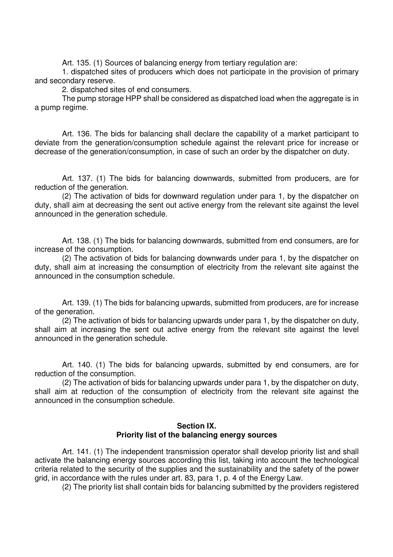Art. 135. (1) Sources of balancing energy from tertiary regulation are:

1. dispatched sites of producers which does not participate in the provision of primary and secondary reserve.

2. dispatched sites of end consumers.

The pump storage HPP shall be considered as dispatched load when the aggregate is in a pump regime.

Art. 136. The bids for balancing shall declare the capability of a market participant to deviate from the generation/consumption schedule against the relevant price for increase or decrease of the generation/consumption, in case of such an order by the dispatcher on duty.

Art. 137. (1) The bids for balancing downwards, submitted from producers, are for reduction of the generation.

(2) The activation of bids for downward regulation under para 1, by the dispatcher on duty, shall aim at decreasing the sent out active energy from the relevant site against the level announced in the generation schedule.

Art. 138. (1) The bids for balancing downwards, submitted from end consumers, are for increase of the consumption.

(2) The activation of bids for balancing downwards under para 1, by the dispatcher on duty, shall aim at increasing the consumption of electricity from the relevant site against the announced in the consumption schedule.

Art. 139. (1) The bids for balancing upwards, submitted from producers, are for increase of the generation.

(2) The activation of bids for balancing upwards under para 1, by the dispatcher on duty, shall aim at increasing the sent out active energy from the relevant site against the level announced in the generation schedule.

Art. 140. (1) The bids for balancing upwards, submitted by end consumers, are for reduction of the consumption.

(2) The activation of bids for balancing upwards under para 1, by the dispatcher on duty, shall aim at reduction of the consumption of electricity from the relevant site against the announced in the consumption schedule.

### **Section IX. Priority list of the balancing energy sources**

Art. 141. (1) The independent transmission operator shall develop priority list and shall activate the balancing energy sources according this list, taking into account the technological criteria related to the security of the supplies and the sustainability and the safety of the power grid, in accordance with the rules under art. 83, para 1, p. 4 of the Energy Law.

(2) The priority list shall contain bids for balancing submitted by the providers registered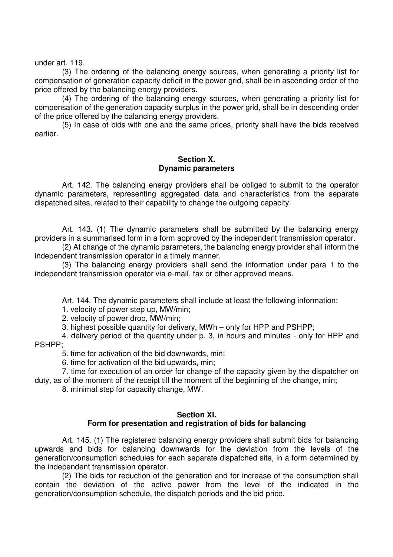under art. 119.

(3) The ordering of the balancing energy sources, when generating a priority list for compensation of generation capacity deficit in the power grid, shall be in ascending order of the price offered by the balancing energy providers.

(4) The ordering of the balancing energy sources, when generating a priority list for compensation of the generation capacity surplus in the power grid, shall be in descending order of the price offered by the balancing energy providers.

(5) In case of bids with one and the same prices, priority shall have the bids received earlier.

#### **Section X. Dynamic parameters**

Art. 142. The balancing energy providers shall be obliged to submit to the operator dynamic parameters, representing aggregated data and characteristics from the separate dispatched sites, related to their capability to change the outgoing capacity.

Art. 143. (1) The dynamic parameters shall be submitted by the balancing energy providers in a summarised form in a form approved by the independent transmission operator.

(2) At change of the dynamic parameters, the balancing energy provider shall inform the independent transmission operator in a timely manner.

(3) The balancing energy providers shall send the information under para 1 to the independent transmission operator via e-mail, fax or other approved means.

Art. 144. The dynamic parameters shall include at least the following information:

1. velocity of power step up, MW/min;

2. velocity of power drop, MW/min;

3. highest possible quantity for delivery, MWh – only for HPP and PSHPP;

4. delivery period of the quantity under p. 3, in hours and minutes - only for HPP and PSHPP;

5. time for activation of the bid downwards, min;

6. time for activation of the bid upwards, min;

7. time for execution of an order for change of the capacity given by the dispatcher on duty, as of the moment of the receipt till the moment of the beginning of the change, min;

8. minimal step for capacity change, MW.

### **Section XI. Form for presentation and registration of bids for balancing**

Art. 145. (1) The registered balancing energy providers shall submit bids for balancing upwards and bids for balancing downwards for the deviation from the levels of the generation/consumption schedules for each separate dispatched site, in a form determined by the independent transmission operator.

(2) The bids for reduction of the generation and for increase of the consumption shall contain the deviation of the active power from the level of the indicated in the generation/consumption schedule, the dispatch periods and the bid price.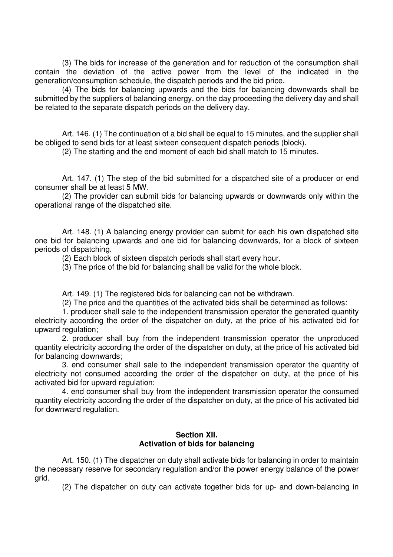(3) The bids for increase of the generation and for reduction of the consumption shall contain the deviation of the active power from the level of the indicated in the generation/consumption schedule, the dispatch periods and the bid price.

(4) The bids for balancing upwards and the bids for balancing downwards shall be submitted by the suppliers of balancing energy, on the day proceeding the delivery day and shall be related to the separate dispatch periods on the delivery day.

Art. 146. (1) The continuation of a bid shall be equal to 15 minutes, and the supplier shall be obliged to send bids for at least sixteen consequent dispatch periods (block).

(2) The starting and the end moment of each bid shall match to 15 minutes.

Art. 147. (1) The step of the bid submitted for a dispatched site of a producer or end consumer shall be at least 5 MW.

(2) The provider can submit bids for balancing upwards or downwards only within the operational range of the dispatched site.

Art. 148. (1) A balancing energy provider can submit for each his own dispatched site one bid for balancing upwards and one bid for balancing downwards, for a block of sixteen periods of dispatching.

(2) Each block of sixteen dispatch periods shall start every hour.

(3) The price of the bid for balancing shall be valid for the whole block.

Art. 149. (1) The registered bids for balancing can not be withdrawn.

(2) The price and the quantities of the activated bids shall be determined as follows:

1. producer shall sale to the independent transmission operator the generated quantity electricity according the order of the dispatcher on duty, at the price of his activated bid for upward regulation;

2. producer shall buy from the independent transmission operator the unproduced quantity electricity according the order of the dispatcher on duty, at the price of his activated bid for balancing downwards;

3. end consumer shall sale to the independent transmission operator the quantity of electricity not consumed according the order of the dispatcher on duty, at the price of his activated bid for upward regulation;

4. end consumer shall buy from the independent transmission operator the consumed quantity electricity according the order of the dispatcher on duty, at the price of his activated bid for downward regulation.

## **Section XII. Activation of bids for balancing**

Art. 150. (1) The dispatcher on duty shall activate bids for balancing in order to maintain the necessary reserve for secondary regulation and/or the power energy balance of the power grid.

(2) The dispatcher on duty can activate together bids for up- and down-balancing in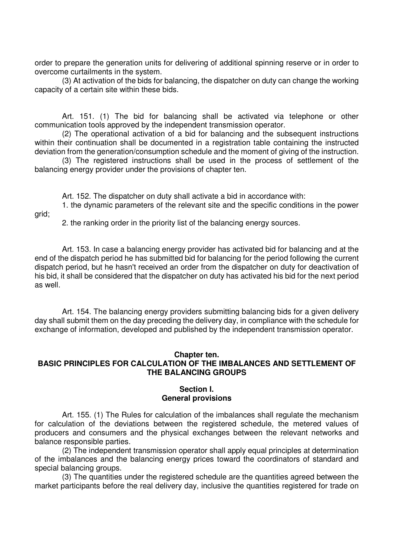order to prepare the generation units for delivering of additional spinning reserve or in order to overcome curtailments in the system.

(3) At activation of the bids for balancing, the dispatcher on duty can change the working capacity of a certain site within these bids.

Art. 151. (1) The bid for balancing shall be activated via telephone or other communication tools approved by the independent transmission operator.

(2) The operational activation of a bid for balancing and the subsequent instructions within their continuation shall be documented in a registration table containing the instructed deviation from the generation/consumption schedule and the moment of giving of the instruction.

(3) The registered instructions shall be used in the process of settlement of the balancing energy provider under the provisions of chapter ten.

Art. 152. The dispatcher on duty shall activate a bid in accordance with:

1. the dynamic parameters of the relevant site and the specific conditions in the power grid;

2. the ranking order in the priority list of the balancing energy sources.

Art. 153. In case a balancing energy provider has activated bid for balancing and at the end of the dispatch period he has submitted bid for balancing for the period following the current dispatch period, but he hasn't received an order from the dispatcher on duty for deactivation of his bid, it shall be considered that the dispatcher on duty has activated his bid for the next period as well.

Art. 154. The balancing energy providers submitting balancing bids for a given delivery day shall submit them on the day preceding the delivery day, in compliance with the schedule for exchange of information, developed and published by the independent transmission operator.

### **Chapter ten.**

## **BASIC PRINCIPLES FOR CALCULATION OF THE IMBALANCES AND SETTLEMENT OF THE BALANCING GROUPS**

## **Section I. General provisions**

Art. 155. (1) The Rules for calculation of the imbalances shall regulate the mechanism for calculation of the deviations between the registered schedule, the metered values of producers and consumers and the physical exchanges between the relevant networks and balance responsible parties.

(2) The independent transmission operator shall apply equal principles at determination of the imbalances and the balancing energy prices toward the coordinators of standard and special balancing groups.

(3) The quantities under the registered schedule are the quantities agreed between the market participants before the real delivery day, inclusive the quantities registered for trade on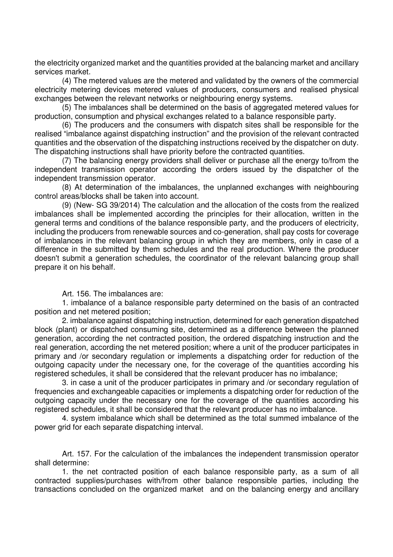the electricity organized market and the quantities provided at the balancing market and ancillary services market.

(4) The metered values are the metered and validated by the owners of the commercial electricity metering devices metered values of producers, consumers and realised physical exchanges between the relevant networks or neighbouring energy systems.

(5) The imbalances shall be determined on the basis of aggregated metered values for production, consumption and physical exchanges related to a balance responsible party.

(6) The producers and the consumers with dispatch sites shall be responsible for the realised "imbalance against dispatching instruction" and the provision of the relevant contracted quantities and the observation of the dispatching instructions received by the dispatcher on duty. The dispatching instructions shall have priority before the contracted quantities.

(7) The balancing energy providers shall deliver or purchase all the energy to/from the independent transmission operator according the orders issued by the dispatcher of the independent transmission operator.

(8) At determination of the imbalances, the unplanned exchanges with neighbouring control areas/blocks shall be taken into account.

(9) (New- SG 39/2014) The calculation and the allocation of the costs from the realized imbalances shall be implemented according the principles for their allocation, written in the general terms and conditions of the balance responsible party, and the producers of electricity, including the producers from renewable sources and co-generation, shall pay costs for coverage of imbalances in the relevant balancing group in which they are members, only in case of a difference in the submitted by them schedules and the real production. Where the producer doesn't submit a generation schedules, the coordinator of the relevant balancing group shall prepare it on his behalf.

### Art. 156. The imbalances are:

1. imbalance of a balance responsible party determined on the basis of an contracted position and net metered position;

2. imbalance against dispatching instruction, determined for each generation dispatched block (plant) or dispatched consuming site, determined as a difference between the planned generation, according the net contracted position, the ordered dispatching instruction and the real generation, according the net metered position; where a unit of the producer participates in primary and /or secondary regulation or implements a dispatching order for reduction of the outgoing capacity under the necessary one, for the coverage of the quantities according his registered schedules, it shall be considered that the relevant producer has no imbalance;

3. in case a unit of the producer participates in primary and /or secondary regulation of frequencies and exchangeable capacities or implements a dispatching order for reduction of the outgoing capacity under the necessary one for the coverage of the quantities according his registered schedules, it shall be considered that the relevant producer has no imbalance.

4. system imbalance which shall be determined as the total summed imbalance of the power grid for each separate dispatching interval.

Art. 157. For the calculation of the imbalances the independent transmission operator shall determine:

1. the net contracted position of each balance responsible party, as a sum of all contracted supplies/purchases with/from other balance responsible parties, including the transactions concluded on the organized market and on the balancing energy and ancillary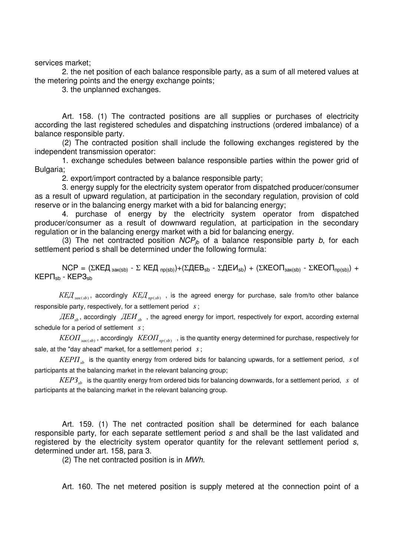services market;

2. the net position of each balance responsible party, as a sum of all metered values at the metering points and the energy exchange points;

3. the unplanned exchanges.

Art. 158. (1) The contracted positions are all supplies or purchases of electricity according the last registered schedules and dispatching instructions (ordered imbalance) of a balance responsible party.

(2) The contracted position shall include the following exchanges registered by the independent transmission operator:

1. exchange schedules between balance responsible parties within the power grid of Bulgaria;

2. export/import contracted by a balance responsible party;

3. energy supply for the electricity system operator from dispatched producer/consumer as a result of upward regulation, at participation in the secondary regulation, provision of cold reserve or in the balancing energy market with a bid for balancing energy;

4. purchase of energy by the electricity system operator from dispatched producer/consumer as a result of downward regulation, at participation in the secondary regulation or in the balancing energy market with a bid for balancing energy.

(3) The net contracted position  $NCP_{ib}$  of a balance responsible party b, for each settlement period s shall be determined under the following formula:

 $NCP = (ΣKEД<sub>3aK(sb)</sub> - Σ KEД<sub>πp(sb)</sub>) + (ΣДЕВ<sub>sb</sub> - ΣJEEM<sub>sb</sub>) + (ΣКЕОП<sub>3aK(sb)</sub> - ΣКЕОП<sub>πp(sb)</sub>) +$  $KEPT<sub>sh</sub> - KEP3<sub>sh</sub>$ 

 $\mathit{KEJ}_{_{\mathit{3aK(sb)}}},$  accordingly  $\mathit{KEJ}_{\mathit{np(sb)}}$  , is the agreed energy for purchase, sale from/to other balance responsible party, respectively, for a settlement period *s*;

 $\overline{\mathcal{A}EB}_{sb}$ , accordingly  $\overline{\mathcal{A}EM}_{sb}$  , the agreed energy for import, respectively for export, according external schedule for a period of settlement *s*;

 $KE O II_{_{\mathit{34K}(sb)}}$  , accordingly  $\;KE O II_{_{\mathit{np}(sb)}}\;$  , is the quantity energy determined for purchase, respectively for sale, at the "day ahead" market, for a settlement period *s*;

КЕРП*sb* is the quantity energy from ordered bids for balancing upwards, for a settlement period, *s* of participants at the balancing market in the relevant balancing group;

KEP3<sub>sb</sub> is the quantity energy from ordered bids for balancing downwards, for a settlement period, *s* of participants at the balancing market in the relevant balancing group.

Art. 159. (1) The net contracted position shall be determined for each balance responsible party, for each separate settlement period s and shall be the last validated and registered by the electricity system operator quantity for the relevant settlement period s, determined under art. 158, para 3.

(2) The net contracted position is in MWh.

Art. 160. The net metered position is supply metered at the connection point of a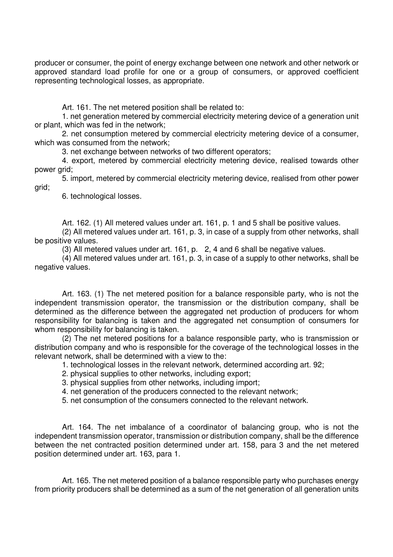producer or consumer, the point of energy exchange between one network and other network or approved standard load profile for one or a group of consumers, or approved coefficient representing technological losses, as appropriate.

Art. 161. The net metered position shall be related to:

1. net generation metered by commercial electricity metering device of a generation unit or plant, which was fed in the network;

2. net consumption metered by commercial electricity metering device of a consumer, which was consumed from the network:

3. net exchange between networks of two different operators;

4. export, metered by commercial electricity metering device, realised towards other power grid;

5. import, metered by commercial electricity metering device, realised from other power grid;

6. technological losses.

Art. 162. (1) All metered values under art. 161, p. 1 and 5 shall be positive values.

(2) All metered values under art. 161, p. 3, in case of a supply from other networks, shall be positive values.

(3) All metered values under art. 161, p. 2, 4 and 6 shall be negative values.

(4) All metered values under art. 161, p. 3, in case of a supply to other networks, shall be negative values.

Art. 163. (1) The net metered position for a balance responsible party, who is not the independent transmission operator, the transmission or the distribution company, shall be determined as the difference between the aggregated net production of producers for whom responsibility for balancing is taken and the aggregated net consumption of consumers for whom responsibility for balancing is taken.

(2) The net metered positions for a balance responsible party, who is transmission or distribution company and who is responsible for the coverage of the technological losses in the relevant network, shall be determined with a view to the:

1. technological losses in the relevant network, determined according art. 92;

2. physical supplies to other networks, including export;

3. physical supplies from other networks, including import;

4. net generation of the producers connected to the relevant network;

5. net consumption of the consumers connected to the relevant network.

Art. 164. The net imbalance of a coordinator of balancing group, who is not the independent transmission operator, transmission or distribution company, shall be the difference between the net contracted position determined under art. 158, para 3 and the net metered position determined under art. 163, para 1.

Art. 165. The net metered position of a balance responsible party who purchases energy from priority producers shall be determined as a sum of the net generation of all generation units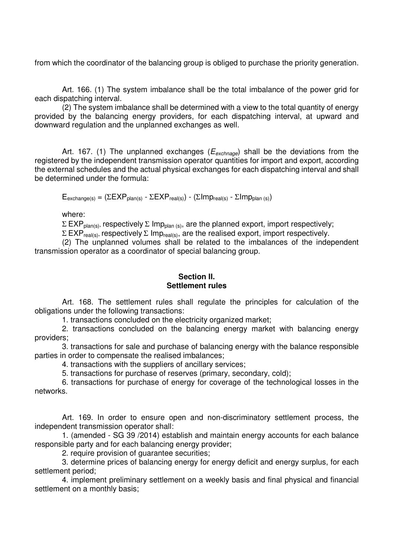from which the coordinator of the balancing group is obliged to purchase the priority generation.

Art. 166. (1) The system imbalance shall be the total imbalance of the power grid for each dispatching interval.

(2) The system imbalance shall be determined with a view to the total quantity of energy provided by the balancing energy providers, for each dispatching interval, at upward and downward regulation and the unplanned exchanges as well.

Art. 167. (1) The unplanned exchanges ( $E_{\text{exchange}}$ ) shall be the deviations from the registered by the independent transmission operator quantities for import and export, according the external schedules and the actual physical exchanges for each dispatching interval and shall be determined under the formula:

 $E_{\text{exchange(s)}} = (\Sigma \Sigma \Sigma P_{\text{plan(s)}} - \Sigma \Sigma \Sigma P_{\text{real(s)}}) - (\Sigma \text{Imp}_{\text{real(s)}} - \Sigma \text{Imp}_{\text{plan(s)}})$ 

where:

 $\Sigma$  EXP<sub>plan(s)</sub>, respectively  $\Sigma$  Imp<sub>plan(s)</sub>, are the planned export, import respectively;

 $\Sigma$  EXP<sub>real(s)</sub>, respectively  $\Sigma$  Imp<sub>real(s)</sub>, are the realised export, import respectively.

(2) The unplanned volumes shall be related to the imbalances of the independent transmission operator as a coordinator of special balancing group.

### **Section II. Settlement rules**

Art. 168. The settlement rules shall regulate the principles for calculation of the obligations under the following transactions:

1. transactions concluded on the electricity organized market;

2. transactions concluded on the balancing energy market with balancing energy providers;

3. transactions for sale and purchase of balancing energy with the balance responsible parties in order to compensate the realised imbalances;

4. transactions with the suppliers of ancillary services;

5. transactions for purchase of reserves (primary, secondary, cold);

6. transactions for purchase of energy for coverage of the technological losses in the networks.

Art. 169. In order to ensure open and non-discriminatory settlement process, the independent transmission operator shall:

1. (amended - SG 39 /2014) establish and maintain energy accounts for each balance responsible party and for each balancing energy provider;

2. require provision of guarantee securities;

3. determine prices of balancing energy for energy deficit and energy surplus, for each settlement period;

4. implement preliminary settlement on a weekly basis and final physical and financial settlement on a monthly basis;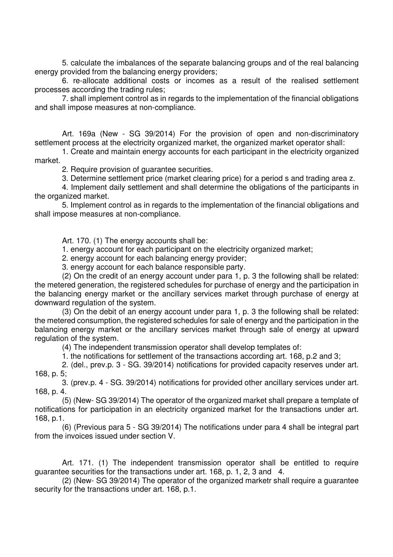5. calculate the imbalances of the separate balancing groups and of the real balancing energy provided from the balancing energy providers;

6. re-allocate additional costs or incomes as a result of the realised settlement processes according the trading rules;

7. shall implement control as in regards to the implementation of the financial obligations and shall impose measures at non-compliance.

Art. 169a (New - SG 39/2014) For the provision of open and non-discriminatory settlement process at the electricity organized market, the organized market operator shall:

1. Create and maintain energy accounts for each participant in the electricity organized market.

2. Require provision of guarantee securities.

3. Determine settlement price (market clearing price) for a period s and trading area z.

4. Implement daily settlement and shall determine the obligations of the participants in the organized market.

5. Implement control as in regards to the implementation of the financial obligations and shall impose measures at non-compliance.

Art. 170. (1) The energy accounts shall be:

1. energy account for each participant on the electricity organized market;

2. energy account for each balancing energy provider;

3. energy account for each balance responsible party.

(2) On the credit of an energy account under para 1, p. 3 the following shall be related: the metered generation, the registered schedules for purchase of energy and the participation in the balancing energy market or the ancillary services market through purchase of energy at downward regulation of the system.

(3) On the debit of an energy account under para 1, p. 3 the following shall be related: the metered consumption, the registered schedules for sale of energy and the participation in the balancing energy market or the ancillary services market through sale of energy at upward regulation of the system.

(4) The independent transmission operator shall develop templates of:

1. the notifications for settlement of the transactions according art. 168, p.2 and 3;

2. (del., prev.p. 3 - SG. 39/2014) notifications for provided capacity reserves under art. 168, p. 5;

3. (prev.p. 4 - SG. 39/2014) notifications for provided other ancillary services under art. 168, p. 4.

(5) (New- SG 39/2014) The operator of the organized market shall prepare a template of notifications for participation in an electricity organized market for the transactions under art. 168, p.1.

(6) (Previous para 5 - SG 39/2014) The notifications under para 4 shall be integral part from the invoices issued under section V.

Art. 171. (1) The independent transmission operator shall be entitled to require guarantee securities for the transactions under art. 168, p. 1, 2, 3 and 4.

(2) (New- SG 39/2014) The operator of the organized marketr shall require a guarantee security for the transactions under art. 168, p.1.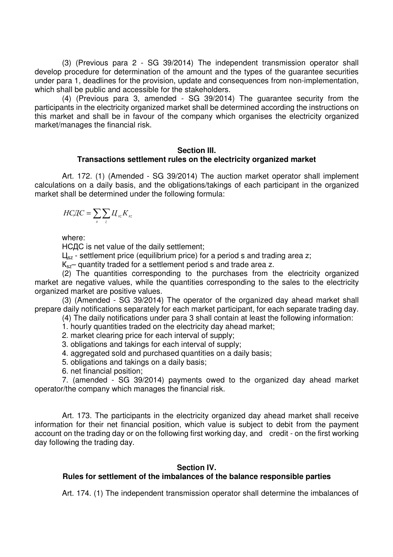(3) (Previous para 2 - SG 39/2014) The independent transmission operator shall develop procedure for determination of the amount and the types of the guarantee securities under para 1, deadlines for the provision, update and consequences from non-implementation, which shall be public and accessible for the stakeholders.

(4) (Previous para 3, amended - SG 39/2014) The guarantee security from the participants in the electricity organized market shall be determined according the instructions on this market and shall be in favour of the company which organises the electricity organized market/manages the financial risk.

#### **Section III. Transactions settlement rules on the electricity organized market**

Art. 172. (1) (Amended - SG 39/2014) The auction market operator shall implement calculations on a daily basis, and the obligations/takings of each participant in the organized market shall be determined under the following formula:

$$
H C \mathcal{I} C = \sum_{s} \sum_{z} \mathcal{U}_{sz} K_{sz}
$$

where:

НСДС is net value of the daily settlement;

 $L_{\text{sz}}$  - settlement price (equilibrium price) for a period s and trading area z;

K<sub>sz</sub>– quantity traded for a settlement period s and trade area z.

(2) The quantities corresponding to the purchases from the electricity organized market are negative values, while the quantities corresponding to the sales to the electricity organized market are positive values.

(3) (Amended - SG 39/2014) The operator of the organized day ahead market shall prepare daily notifications separately for each market participant, for each separate trading day.

(4) The daily notifications under para 3 shall contain at least the following information:

1. hourly quantities traded on the electricity day ahead market;

2. market clearing price for each interval of supply;

3. obligations and takings for each interval of supply;

4. aggregated sold and purchased quantities on a daily basis;

5. obligations and takings on a daily basis;

6. net financial position;

7. (amended - SG 39/2014) payments owed to the organized day ahead market operator/the company which manages the financial risk.

Art. 173. The participants in the electricity organized day ahead market shall receive information for their net financial position, which value is subject to debit from the payment account on the trading day or on the following first working day, and credit - on the first working day following the trading day.

## **Section IV.**

## **Rules for settlement of the imbalances of the balance responsible parties**

Art. 174. (1) The independent transmission operator shall determine the imbalances of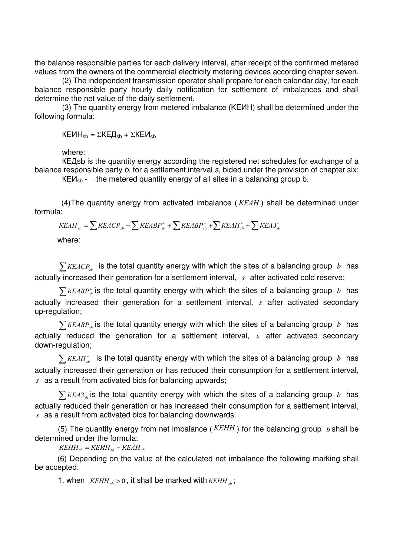the balance responsible parties for each delivery interval, after receipt of the confirmed metered values from the owners of the commercial electricity metering devices according chapter seven.

(2) The independent transmission operator shall prepare for each calendar day, for each balance responsible party hourly daily notification for settlement of imbalances and shall determine the net value of the daily settlement.

(3) The quantity energy from metered imbalance (KEИН) shall be determined under the following formula:

 $KEMH<sub>sh</sub> = ΣKEД<sub>sh</sub> + ΣKEM<sub>sh</sub>$ 

where:

КЕДsb is the quantity energy according the registered net schedules for exchange of a balance responsible party b, for a settlement interval s, bided under the provision of chapter six;

 $KEM<sub>sb</sub>$  - the metered quantity energy of all sites in a balancing group b.

(4) The quantity energy from activated imbalance ( $KEAH$ ) shall be determined under formula:

$$
KEAH_{sb} = \sum KEACP_{sb} + \sum KEABP_{sb}^{+} + \sum KEABP_{sb}^{-} + \sum KEAT_{sb}^{+} + \sum KEA3_{sb}^{-}
$$

where:

 $\sum$  KEACP<sub>s</sub> is the total quantity energy with which the sites of a balancing group *b* has actually increased their generation for a settlement interval, *s* after activated cold reserve;

 $\sum$ *KEABP*<sup>+</sup><sub>s</sub><sub>b</sub> is the total quantity energy with which the sites of a balancing group *b* has actually increased their generation for a settlement interval, *s* after activated secondary up-regulation;

 $\sum$ *KEABP*<sub>sb</sub> is the total quantity energy with which the sites of a balancing group *b* has actually reduced the generation for a settlement interval, *s* after activated secondary down-regulation;

 $\sum$ *KEA* $\Pi^*_{sb}$  is the total quantity energy with which the sites of a balancing group *b* has actually increased their generation or has reduced their consumption for a settlement interval, *s* as a result from activated bids for balancing upwards**;** 

 $\sum$ *KEA3*<sup> $\tau$ </sup> is the total quantity energy with which the sites of a balancing group *b* has actually reduced their generation or has increased their consumption for a settlement interval, *s* as a result from activated bids for balancing downwards.

(5) The quantity energy from net imbalance ( $KEHH$ ) for the balancing group *b* shall be determined under the formula:

 $KEHH_{sb} = KEMH_{sb} - KEAH_{sb}$ 

(6) Depending on the value of the calculated net imbalance the following marking shall be accepted:

1. when  $KEHH_{ab} > 0$ , it shall be marked with  $KEHH_{ab}^+$ ;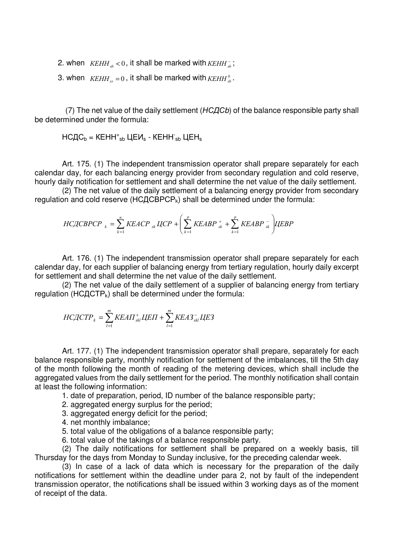2. when  $KEHH_{ab} < 0$ , it shall be marked with  $KEHH_{ab}$ ;

3. when  $KEHH<sub>s</sub> = 0$ , it shall be marked with  $KEHH<sub>s</sub><sup>0</sup>$ .

 (7) The net value of the daily settlement (НСДСb) of the balance responsible party shall be determined under the formula:

НСДС $_b$  = КЕНН $^+$ <sub>sb</sub> ЦЕИ $_s$  - КЕНН $^-_{sb}$  ЦЕН $_s$ 

Art. 175. (1) The independent transmission operator shall prepare separately for each calendar day, for each balancing energy provider from secondary regulation and cold reserve, hourly daily notification for settlement and shall determine the net value of the daily settlement.

(2) The net value of the daily settlement of a balancing energy provider from secondary regulation and cold reserve ( $HCLCBPCP_k$ ) shall be determined under the formula:

$$
HCACBPCP_{k} = \sum_{k=1}^{n} KEACP_{sk} LCCP + \left(\sum_{k=1}^{p} KEABP_{sk}^{+} + \sum_{k=1}^{p} KEABP_{sk}^{-}\right)LIEBP
$$

Art. 176. (1) The independent transmission operator shall prepare separately for each calendar day, for each supplier of balancing energy from tertiary regulation, hourly daily excerpt for settlement and shall determine the net value of the daily settlement.

(2) The net value of the daily settlement of a supplier of balancing energy from tertiary regulation (HC $ACTP_k$ ) shall be determined under the formula:

$$
H C \text{Z} C T P_k = \sum_{l=1}^{m} K E A T_{skl}^+ \text{Z} L H + \sum_{l=1}^{m} K E A 3^{-}_{skl} \text{Z} L E 3
$$

Art. 177. (1) The independent transmission operator shall prepare, separately for each balance responsible party, monthly notification for settlement of the imbalances, till the 5th day of the month following the month of reading of the metering devices, which shall include the aggregated values from the daily settlement for the period. The monthly notification shall contain at least the following information:

1. date of preparation, period, ID number of the balance responsible party;

2. aggregated energy surplus for the period;

- 3. aggregated energy deficit for the period;
- 4. net monthly imbalance;
- 5. total value of the obligations of a balance responsible party;
- 6. total value of the takings of a balance responsible party.

(2) The daily notifications for settlement shall be prepared on a weekly basis, till Thursday for the days from Monday to Sunday inclusive, for the preceding calendar week.

(3) In case of a lack of data which is necessary for the preparation of the daily notifications for settlement within the deadline under para 2, not by fault of the independent transmission operator, the notifications shall be issued within 3 working days as of the moment of receipt of the data.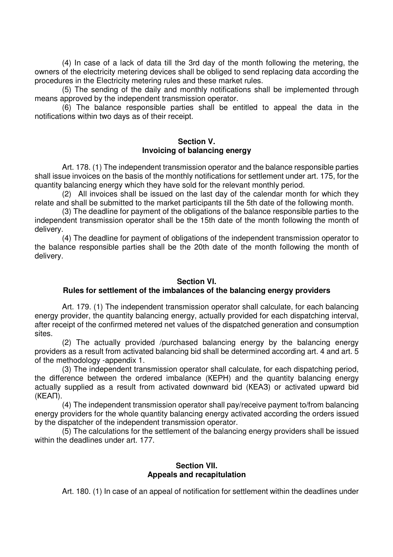(4) In case of a lack of data till the 3rd day of the month following the metering, the owners of the electricity metering devices shall be obliged to send replacing data according the procedures in the Electricity metering rules and these market rules.

(5) The sending of the daily and monthly notifications shall be implemented through means approved by the independent transmission operator.

(6) The balance responsible parties shall be entitled to appeal the data in the notifications within two days as of their receipt.

#### **Section V. Invoicing of balancing energy**

Art. 178. (1) The independent transmission operator and the balance responsible parties shall issue invoices on the basis of the monthly notifications for settlement under art. 175, for the quantity balancing energy which they have sold for the relevant monthly period.

(2) All invoices shall be issued on the last day of the calendar month for which they relate and shall be submitted to the market participants till the 5th date of the following month.

(3) The deadline for payment of the obligations of the balance responsible parties to the independent transmission operator shall be the 15th date of the month following the month of delivery.

(4) The deadline for payment of obligations of the independent transmission operator to the balance responsible parties shall be the 20th date of the month following the month of delivery.

## **Section VI.**

## **Rules for settlement of the imbalances of the balancing energy providers**

Art. 179. (1) The independent transmission operator shall calculate, for each balancing energy provider, the quantity balancing energy, actually provided for each dispatching interval, after receipt of the confirmed metered net values of the dispatched generation and consumption sites.

(2) The actually provided /purchased balancing energy by the balancing energy providers as a result from activated balancing bid shall be determined according art. 4 and art. 5 of the methodology -appendix 1.

(3) The independent transmission operator shall calculate, for each dispatching period, the difference between the ordered imbalance (КЕРН) and the quantity balancing energy actually supplied as a result from activated downward bid (КЕАЗ) or activated upward bid (КЕАП).

(4) The independent transmission operator shall pay/receive payment to/from balancing energy providers for the whole quantity balancing energy activated according the orders issued by the dispatcher of the independent transmission operator.

(5) The calculations for the settlement of the balancing energy providers shall be issued within the deadlines under art. 177.

### **Section VII. Appeals and recapitulation**

Art. 180. (1) In case of an appeal of notification for settlement within the deadlines under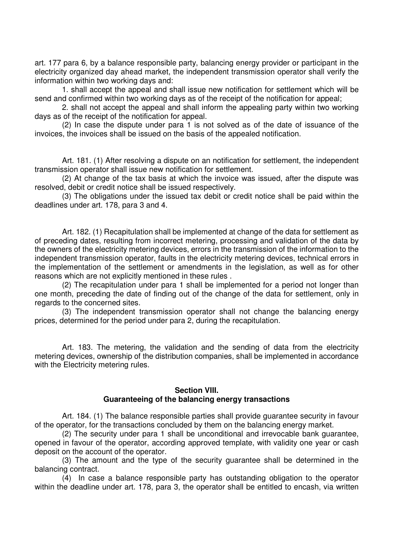art. 177 para 6, by a balance responsible party, balancing energy provider or participant in the electricity organized day ahead market, the independent transmission operator shall verify the information within two working days and:

1. shall accept the appeal and shall issue new notification for settlement which will be send and confirmed within two working days as of the receipt of the notification for appeal;

2. shall not accept the appeal and shall inform the appealing party within two working days as of the receipt of the notification for appeal.

(2) In case the dispute under para 1 is not solved as of the date of issuance of the invoices, the invoices shall be issued on the basis of the appealed notification.

Art. 181. (1) After resolving a dispute on an notification for settlement, the independent transmission operator shall issue new notification for settlement.

(2) At change of the tax basis at which the invoice was issued, after the dispute was resolved, debit or credit notice shall be issued respectively.

(3) The obligations under the issued tax debit or credit notice shall be paid within the deadlines under art. 178, para 3 and 4.

Art. 182. (1) Recapitulation shall be implemented at change of the data for settlement as of preceding dates, resulting from incorrect metering, processing and validation of the data by the owners of the electricity metering devices, errors in the transmission of the information to the independent transmission operator, faults in the electricity metering devices, technical errors in the implementation of the settlement or amendments in the legislation, as well as for other reasons which are not explicitly mentioned in these rules .

(2) The recapitulation under para 1 shall be implemented for a period not longer than one month, preceding the date of finding out of the change of the data for settlement, only in regards to the concerned sites.

(3) The independent transmission operator shall not change the balancing energy prices, determined for the period under para 2, during the recapitulation.

Art. 183. The metering, the validation and the sending of data from the electricity metering devices, ownership of the distribution companies, shall be implemented in accordance with the Electricity metering rules.

#### **Section VIII. Guaranteeing of the balancing energy transactions**

Art. 184. (1) The balance responsible parties shall provide guarantee security in favour of the operator, for the transactions concluded by them on the balancing energy market.

(2) The security under para 1 shall be unconditional and irrevocable bank guarantee, opened in favour of the operator, according approved template, with validity one year or cash deposit on the account of the operator.

(3) The amount and the type of the security guarantee shall be determined in the balancing contract.

(4) In case a balance responsible party has outstanding obligation to the operator within the deadline under art. 178, para 3, the operator shall be entitled to encash, via written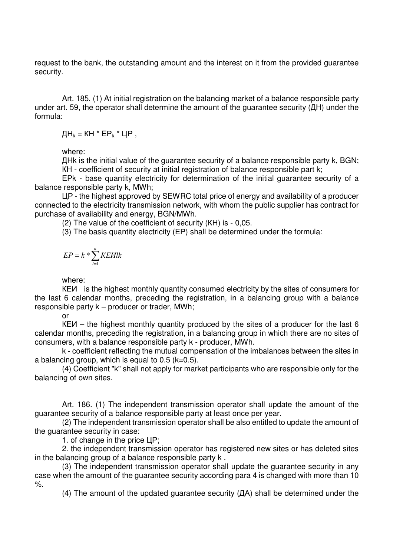request to the bank, the outstanding amount and the interest on it from the provided guarantee security.

Art. 185. (1) At initial registration on the balancing market of a balance responsible party under art. 59, the operator shall determine the amount of the guarantee security (ДН) under the formula:

 $\[\Pi_k = KH * EP_k * UP\]$ ,

where:

ДНk is the initial value of the guarantee security of a balance responsible party k, BGN; КН - coefficient of security at initial registration of balance responsible part k;

ЕРk - base quantity electricity for determination of the initial guarantee security of a balance responsible party k, MWh;

ЦР - the highest approved by SEWRC total price of energy and availability of a producer connected to the electricity transmission network, with whom the public supplier has contract for purchase of availability and energy, BGN/MWh.

(2) The value of the coefficient of security (КН) is - 0,05.

(3) The basis quantity electricity (ЕР) shall be determined under the formula:

$$
EP = k * \sum_{l=1}^{n} KEUlk
$$

where:

КЕИ is the highest monthly quantity consumed electricity by the sites of consumers for the last 6 calendar months, preceding the registration, in a balancing group with a balance responsible party k – producer or trader, MWh;

or

КЕИ – the highest monthly quantity produced by the sites of a producer for the last 6 calendar months, preceding the registration, in a balancing group in which there are no sites of consumers, with a balance responsible party k - producer, MWh.

k - coefficient reflecting the mutual compensation of the imbalances between the sites in a balancing group, which is equal to  $0.5$  ( $k=0.5$ ).

(4) Coefficient "k" shall not apply for market participants who are responsible only for the balancing of own sites.

Art. 186. (1) The independent transmission operator shall update the amount of the guarantee security of a balance responsible party at least once per year.

(2) The independent transmission operator shall be also entitled to update the amount of the guarantee security in case:

1. of change in the price ЦР;

2. the independent transmission operator has registered new sites or has deleted sites in the balancing group of a balance responsible party k .

(3) The independent transmission operator shall update the guarantee security in any case when the amount of the guarantee security according para 4 is changed with more than 10  $\%$ .

(4) The amount of the updated guarantee security (ДА) shall be determined under the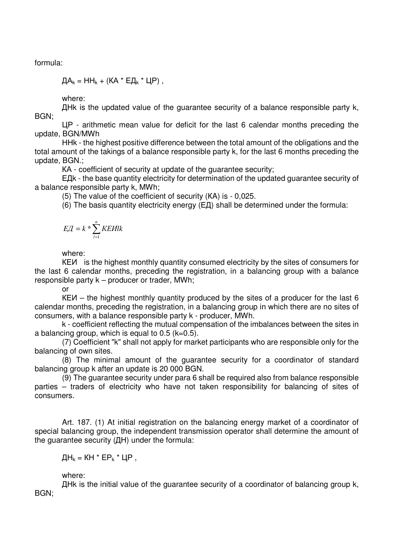formula:

 $\[\Pi A_k = H H_k + (K A^* E \Pi_k^* H) \]$ ,

where:

ДНk is the updated value of the guarantee security of a balance responsible party k, BGN;

ЦР - arithmetic mean value for deficit for the last 6 calendar months preceding the update, BGN/MWh

ННk - the highest positive difference between the total amount of the obligations and the total amount of the takings of a balance responsible party k, for the last 6 months preceding the update, BGN.;

КА - coefficient of security at update of the guarantee security;

ЕДk - the base quantity electricity for determination of the updated guarantee security of a balance responsible party k, MWh;

(5) The value of the coefficient of security (КA) is - 0,025.

(6) The basis quantity electricity energy (ЕД) shall be determined under the formula:

$$
E\mathcal{A} = k * \sum_{l=1}^{n} KE\mathcal{H}lk
$$

where:

КЕИ is the highest monthly quantity consumed electricity by the sites of consumers for the last 6 calendar months, preceding the registration, in a balancing group with a balance responsible party k – producer or trader, MWh;

or

КЕИ – the highest monthly quantity produced by the sites of a producer for the last 6 calendar months, preceding the registration, in a balancing group in which there are no sites of consumers, with a balance responsible party k - producer, MWh.

k - coefficient reflecting the mutual compensation of the imbalances between the sites in a balancing group, which is equal to  $0.5$  ( $k=0.5$ ).

(7) Coefficient "k" shall not apply for market participants who are responsible only for the balancing of own sites.

(8) The minimal amount of the guarantee security for a coordinator of standard balancing group k after an update is 20 000 BGN.

(9) The guarantee security under para 6 shall be required also from balance responsible parties – traders of electricity who have not taken responsibility for balancing of sites of consumers.

Art. 187. (1) At initial registration on the balancing energy market of a coordinator of special balancing group, the independent transmission operator shall determine the amount of the guarantee security (ДН) under the formula:

 $\[\Pi_k = KH * EP_k * UP\]$ ,

where:

ДНk is the initial value of the guarantee security of a coordinator of balancing group k, BGN;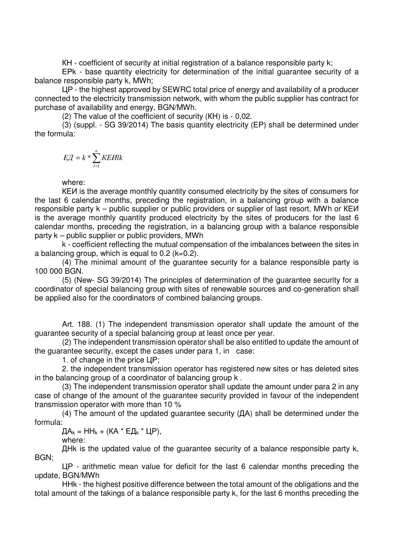КН - coefficient of security at initial registration of a balance responsible party k;

ЕРk - base quantity electricity for determination of the initial guarantee security of a balance responsible party k, MWh;

ЦР - the highest approved by SEWRC total price of energy and availability of a producer connected to the electricity transmission network, with whom the public supplier has contract for purchase of availability and energy, BGN/MWh.

(2) The value of the coefficient of security (КН) is - 0,02.

(3) (suppl. - SG 39/2014) The basis quantity electricity (ЕР) shall be determined under the formula:

$$
E\!\!\!\!/ \int = k * \sum_{l=1}^n K\!\!\!\!/ E\!\!\!\!/ l l k
$$

where:

КЕИ is the average monthly quantity consumed electricity by the sites of consumers for the last 6 calendar months, preceding the registration, in a balancing group with a balance responsible party k – public supplier or public providers or supplier of last resort, MWh or КЕИ is the average monthly quantity produced electricity by the sites of producers for the last 6 calendar months, preceding the registration, in a balancing group with a balance responsible party k – public supplier or public providers, MWh

k - coefficient reflecting the mutual compensation of the imbalances between the sites in a balancing group, which is equal to  $0.2$  ( $k=0.2$ ).

(4) The minimal amount of the guarantee security for a balance responsible party is 100 000 BGN.

(5) (New- SG 39/2014) The principles of determination of the guarantee security for a coordinator of special balancing group with sites of renewable sources and co-generation shall be applied also for the coordinators of combined balancing groups.

Art. 188. (1) The independent transmission operator shall update the amount of the guarantee security of a special balancing group at least once per year.

(2) The independent transmission operator shall be also entitled to update the amount of the guarantee security, except the cases under para 1, in case:

1. of change in the price ЦР;

2. the independent transmission operator has registered new sites or has deleted sites in the balancing group of a coordinator of balancing group k .

(3) The independent transmission operator shall update the amount under para 2 in any case of change of the amount of the guarantee security provided in favour of the independent transmission operator with more than 10 %

(4) The amount of the updated guarantee security (ДА) shall be determined under the formula:

 $\[\Pi A_k = H H_k + (KA * E \Pi_k * UP)\]$ 

where:

ДНk is the updated value of the guarantee security of a balance responsible party k, BGN;

ЦР - arithmetic mean value for deficit for the last 6 calendar months preceding the update, BGN/MWh

ННk - the highest positive difference between the total amount of the obligations and the total amount of the takings of a balance responsible party k, for the last 6 months preceding the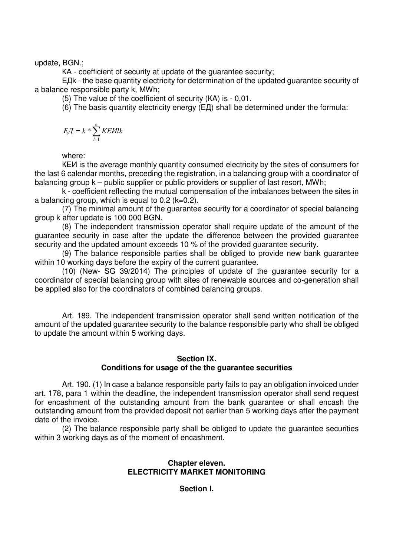update, BGN.;

КА - coefficient of security at update of the guarantee security;

ЕДk - the base quantity electricity for determination of the updated guarantee security of a balance responsible party k, MWh;

(5) The value of the coefficient of security (КA) is - 0,01.

(6) The basis quantity electricity energy (ЕД) shall be determined under the formula:

$$
E\mathcal{A} = k * \sum_{l=1}^{n} KE\mathcal{H}lk
$$

where:

КЕИ is the average monthly quantity consumed electricity by the sites of consumers for the last 6 calendar months, preceding the registration, in a balancing group with a coordinator of balancing group k – public supplier or public providers or supplier of last resort, MWh;

k - coefficient reflecting the mutual compensation of the imbalances between the sites in a balancing group, which is equal to  $0.2$  ( $k=0.2$ ).

(7) The minimal amount of the guarantee security for a coordinator of special balancing group k after update is 100 000 BGN.

(8) The independent transmission operator shall require update of the amount of the guarantee security in case after the update the difference between the provided guarantee security and the updated amount exceeds 10 % of the provided guarantee security.

(9) The balance responsible parties shall be obliged to provide new bank guarantee within 10 working days before the expiry of the current guarantee.

(10) (New- SG 39/2014) The principles of update of the guarantee security for a coordinator of special balancing group with sites of renewable sources and co-generation shall be applied also for the coordinators of combined balancing groups.

Art. 189. The independent transmission operator shall send written notification of the amount of the updated guarantee security to the balance responsible party who shall be obliged to update the amount within 5 working days.

## **Section IX. Conditions for usage of the the guarantee securities**

Art. 190. (1) In case a balance responsible party fails to pay an obligation invoiced under art. 178, para 1 within the deadline, the independent transmission operator shall send request for encashment of the outstanding amount from the bank guarantee or shall encash the outstanding amount from the provided deposit not earlier than 5 working days after the payment date of the invoice.

(2) The balance responsible party shall be obliged to update the guarantee securities within 3 working days as of the moment of encashment.

## **Chapter eleven. ELECTRICITY MARKET MONITORING**

**Section I.**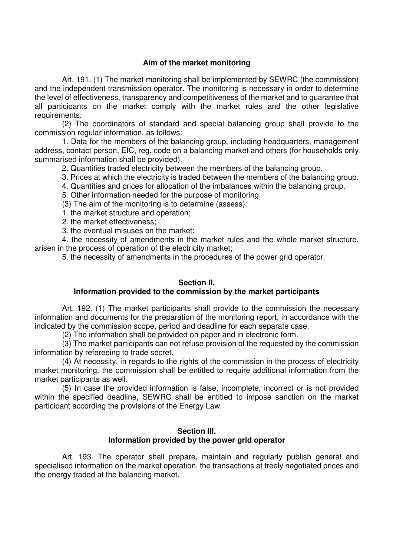## **Aim of the market monitoring**

Art. 191. (1) The market monitoring shall be implemented by SEWRC (the commission) and the independent transmission operator. The monitoring is necessary in order to determine the level of effectiveness, transparency and competitiveness of the market and to guarantee that all participants on the market comply with the market rules and the other legislative requirements.

(2) The coordinators of standard and special balancing group shall provide to the commission regular information, as follows:

1. Data for the members of the balancing group, including headquarters, management address, contact person, EIC, reg. code on a balancing market and others (for households only summarised information shall be provided).

2. Quantities traded electricity between the members of the balancing group.

3. Prices at which the electricity is traded between the members of the balancing group.

4. Quantities and prices for allocation of the imbalances within the balancing group.

5. Other information needed for the purpose of monitoring.

(3) The aim of the monitoring is to determine (assess):

1. the market structure and operation;

2. the market effectiveness;

3. the eventual misuses on the market;

4. the necessity of amendments in the market rules and the whole market structure, arisen in the process of operation of the electricity market;

5. the necessity of amendments in the procedures of the power grid operator.

## **Section II.**

## **Information provided to the commission by the market participants**

Art. 192. (1) The market participants shall provide to the commission the necessary information and documents for the preparation of the monitoring report, in accordance with the indicated by the commission scope, period and deadline for each separate case.

(2) The information shall be provided on paper and in electronic form.

(3) The market participants can not refuse provision of the requested by the commission information by refereeing to trade secret.

(4) At necessity, in regards to the rights of the commission in the process of electricity market monitoring, the commission shall be entitled to require additional information from the market participants as well.

(5) In case the provided information is false, incomplete, incorrect or is not provided within the specified deadline, SEWRC shall be entitled to impose sanction on the market participant according the provisions of the Energy Law.

### **Section III. Information provided by the power grid operator**

Art. 193. The operator shall prepare, maintain and regularly publish general and specialised information on the market operation, the transactions at freely negotiated prices and the energy traded at the balancing market.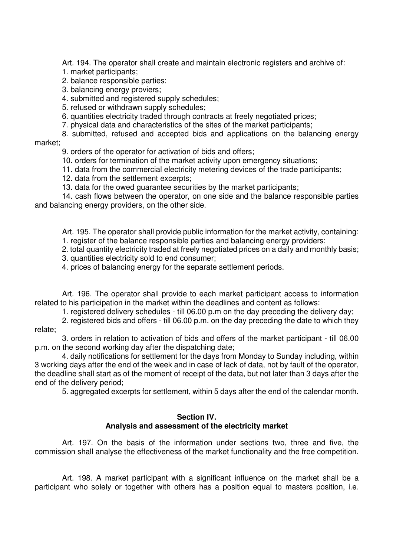Art. 194. The operator shall create and maintain electronic registers and archive of:

- 1. market participants;
- 2. balance responsible parties;
- 3. balancing energy proviers;
- 4. submitted and registered supply schedules;
- 5. refused or withdrawn supply schedules;
- 6. quantities electricity traded through contracts at freely negotiated prices;
- 7. physical data and characteristics of the sites of the market participants;

8. submitted, refused and accepted bids and applications on the balancing energy

# market;

9. orders of the operator for activation of bids and offers;

- 10. orders for termination of the market activity upon emergency situations;
- 11. data from the commercial electricity metering devices of the trade participants;
- 12. data from the settlement excerpts;
- 13. data for the owed guarantee securities by the market participants;

14. cash flows between the operator, on one side and the balance responsible parties and balancing energy providers, on the other side.

Art. 195. The operator shall provide public information for the market activity, containing: 1. register of the balance responsible parties and balancing energy providers;

2. total quantity electricity traded at freely negotiated prices on a daily and monthly basis;

- 3. quantities electricity sold to end consumer;
- 4. prices of balancing energy for the separate settlement periods.

Art. 196. The operator shall provide to each market participant access to information related to his participation in the market within the deadlines and content as follows:

1. registered delivery schedules - till 06.00 p.m on the day preceding the delivery day;

2. registered bids and offers - till 06.00 p.m. on the day preceding the date to which they relate;

3. orders in relation to activation of bids and offers of the market participant - till 06.00 p.m. on the second working day after the dispatching date;

4. daily notifications for settlement for the days from Monday to Sunday including, within 3 working days after the end of the week and in case of lack of data, not by fault of the operator, the deadline shall start as of the moment of receipt of the data, but not later than 3 days after the end of the delivery period;

5. aggregated excerpts for settlement, within 5 days after the end of the calendar month.

## **Section IV. Analysis and assessment of the electricity market**

Art. 197. On the basis of the information under sections two, three and five, the commission shall analyse the effectiveness of the market functionality and the free competition.

Art. 198. A market participant with a significant influence on the market shall be a participant who solely or together with others has a position equal to masters position, i.e.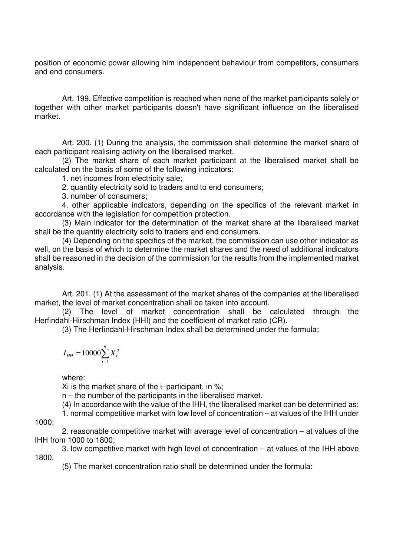position of economic power allowing him independent behaviour from competitors, consumers and end consumers.

Art. 199. Effective competition is reached when none of the market participants solely or together with other market participants doesn't have significant influence on the liberalised market.

Art. 200. (1) During the analysis, the commission shall determine the market share of each participant realising activity on the liberalised market.

(2) The market share of each market participant at the liberalised market shall be calculated on the basis of some of the following indicators:

1. net incomes from electricity sale;

2. quantity electricity sold to traders and to end consumers;

3. number of consumers;

4. other applicable indicators, depending on the specifics of the relevant market in accordance with the legislation for competition protection.

(3) Main indicator for the determination of the market share at the liberalised market shall be the quantity electricity sold to traders and end consumers.

(4) Depending on the specifics of the market, the commission can use other indicator as well, on the basis of which to determine the market shares and the need of additional indicators shall be reasoned in the decision of the commission for the results from the implemented market analysis.

Art. 201. (1) At the assessment of the market shares of the companies at the liberalised market, the level of market concentration shall be taken into account.

(2) The level of market concentration shall be calculated through the Herfindahl-Hirschman Index (HHI) and the coefficient of market ratio (СR).

(3) The Herfindahl-Hirschman Index shall be determined under the formula:

$$
I_{HH} = 10000 \sum_{i=1}^{n} X_i^2
$$

where:

Xi is the market share of the i–participant, in %;

n – the number of the participants in the liberalised market.

(4) In accordance with the value of the IHH, the liberalised market can be determined as:

1. normal competitive market with low level of concentration – at values of the IHH under

1000;

2. reasonable competitive market with average level of concentration – at values of the IHH from 1000 to 1800;

3. low competitive market with high level of concentration – at values of the IHH above 1800.

(5) The market concentration ratio shall be determined under the formula: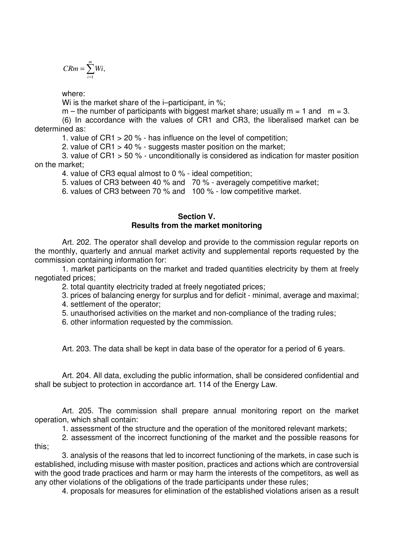$$
CRm = \sum_{i=1}^{m} Wi,
$$

where:

Wi is the market share of the i–participant, in %;

 $m -$  the number of participants with biggest market share; usually  $m = 1$  and  $m = 3$ .

(6) In accordance with the values of CR1 and CR3, the liberalised market can be determined as:

1. value of CR1 > 20 % - has influence on the level of competition;

2. value of СR1 > 40 % - suggests master position on the market;

3. value of СR1 > 50 % - unconditionally is considered as indication for master position on the market;

4. value of СR3 equal almost to 0 % - ideal competition;

5. values of CR3 between 40 % and 70 % - averagely competitive market;

6. values of CR3 between 70 % and 100 % - low competitive market.

## **Section V. Results from the market monitoring**

Art. 202. The operator shall develop and provide to the commission regular reports on the monthly, quarterly and annual market activity and supplemental reports requested by the commission containing information for:

1. market participants on the market and traded quantities electricity by them at freely negotiated prices;

2. total quantity electricity traded at freely negotiated prices;

3. prices of balancing energy for surplus and for deficit - minimal, average and maximal;

4. settlement of the operator;

5. unauthorised activities on the market and non-compliance of the trading rules;

6. other information requested by the commission.

Art. 203. The data shall be kept in data base of the operator for a period of 6 years.

Art. 204. All data, excluding the public information, shall be considered confidential and shall be subject to protection in accordance art. 114 of the Energy Law.

Art. 205. The commission shall prepare annual monitoring report on the market operation, which shall contain:

1. assessment of the structure and the operation of the monitored relevant markets;

2. assessment of the incorrect functioning of the market and the possible reasons for this;

3. analysis of the reasons that led to incorrect functioning of the markets, in case such is established, including misuse with master position, practices and actions which are controversial with the good trade practices and harm or may harm the interests of the competitors, as well as any other violations of the obligations of the trade participants under these rules;

4. proposals for measures for elimination of the established violations arisen as a result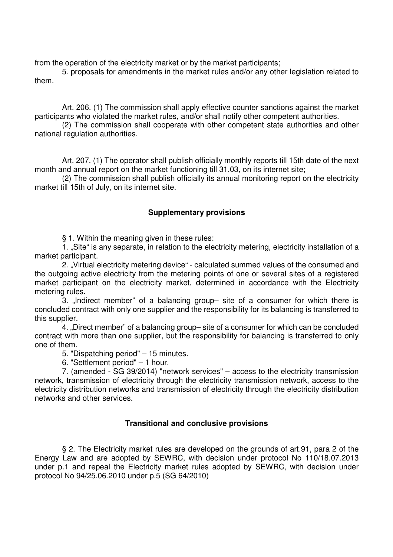from the operation of the electricity market or by the market participants;

5. proposals for amendments in the market rules and/or any other legislation related to them.

Art. 206. (1) The commission shall apply effective counter sanctions against the market participants who violated the market rules, and/or shall notify other competent authorities.

(2) The commission shall cooperate with other competent state authorities and other national regulation authorities.

Art. 207. (1) The operator shall publish officially monthly reports till 15th date of the next month and annual report on the market functioning till 31.03, on its internet site;

(2) The commission shall publish officially its annual monitoring report on the electricity market till 15th of July, on its internet site.

## **Supplementary provisions**

§ 1. Within the meaning given in these rules:

1. "Site" is any separate, in relation to the electricity metering, electricity installation of a market participant.

2. "Virtual electricity metering device" - calculated summed values of the consumed and the outgoing active electricity from the metering points of one or several sites of a registered market participant on the electricity market, determined in accordance with the Electricity metering rules.

3. Indirect member" of a balancing group– site of a consumer for which there is concluded contract with only one supplier and the responsibility for its balancing is transferred to this supplier.

4. "Direct member" of a balancing group– site of a consumer for which can be concluded contract with more than one supplier, but the responsibility for balancing is transferred to only one of them.

5. "Dispatching period" – 15 minutes.

6. "Settlement period" – 1 hour.

7. (amended - SG 39/2014) "network services" – access to the electricity transmission network, transmission of electricity through the electricity transmission network, access to the electricity distribution networks and transmission of electricity through the electricity distribution networks and other services.

## **Transitional and conclusive provisions**

§ 2. The Electricity market rules are developed on the grounds of art.91, para 2 of the Energy Law and are adopted by SEWRC, with decision under protocol No 110/18.07.2013 under p.1 and repeal the Electricity market rules adopted by SEWRC, with decision under protocol No 94/25.06.2010 under p.5 (SG 64/2010)